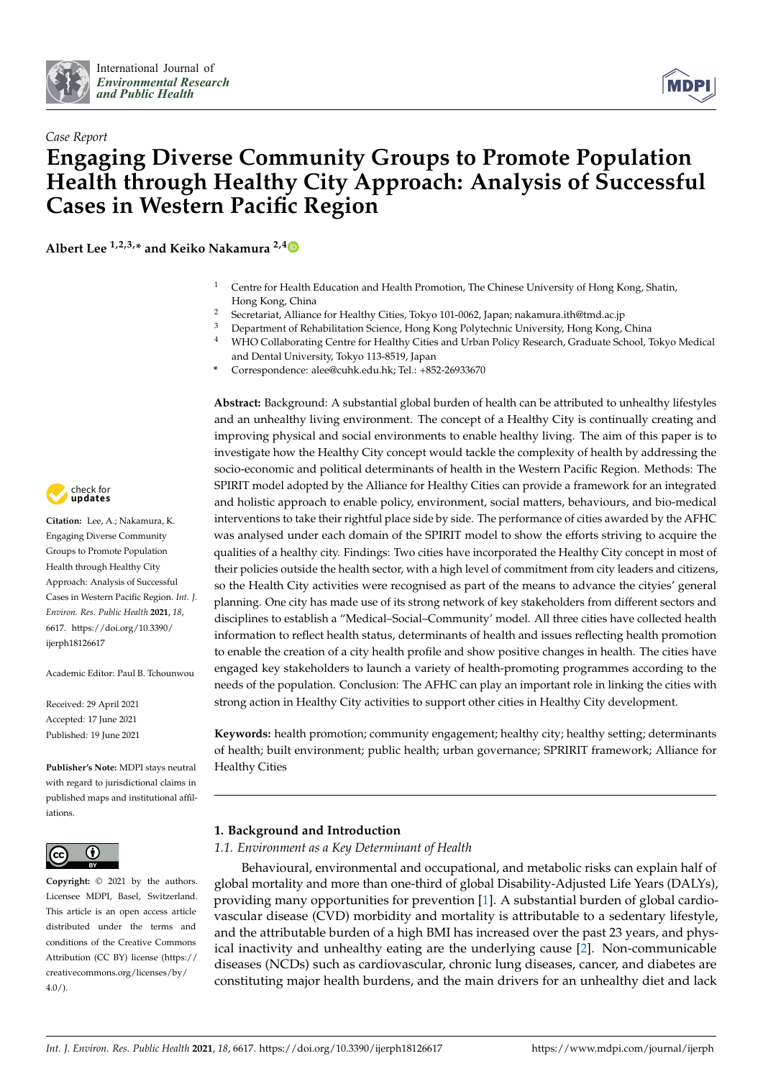



# *Case Report* **Engaging Diverse Community Groups to Promote Population Health through Healthy City Approach: Analysis of Successful Cases in Western Pacific Region**

**Albert Lee 1,2,3,\* and Keiko Nakamura 2,[4](https://orcid.org/0000-0002-9119-4730)**

- <sup>1</sup> Centre for Health Education and Health Promotion, The Chinese University of Hong Kong, Shatin, Hong Kong, China
- <sup>2</sup> Secretariat, Alliance for Healthy Cities, Tokyo 101-0062, Japan; nakamura.ith@tmd.ac.jp
- <sup>3</sup> Department of Rehabilitation Science, Hong Kong Polytechnic University, Hong Kong, China
- <sup>4</sup> WHO Collaborating Centre for Healthy Cities and Urban Policy Research, Graduate School, Tokyo Medical and Dental University, Tokyo 113-8519, Japan
- **\*** Correspondence: alee@cuhk.edu.hk; Tel.: +852-26933670

**Abstract:** Background: A substantial global burden of health can be attributed to unhealthy lifestyles and an unhealthy living environment. The concept of a Healthy City is continually creating and improving physical and social environments to enable healthy living. The aim of this paper is to investigate how the Healthy City concept would tackle the complexity of health by addressing the socio-economic and political determinants of health in the Western Pacific Region. Methods: The SPIRIT model adopted by the Alliance for Healthy Cities can provide a framework for an integrated and holistic approach to enable policy, environment, social matters, behaviours, and bio-medical interventions to take their rightful place side by side. The performance of cities awarded by the AFHC was analysed under each domain of the SPIRIT model to show the efforts striving to acquire the qualities of a healthy city. Findings: Two cities have incorporated the Healthy City concept in most of their policies outside the health sector, with a high level of commitment from city leaders and citizens, so the Health City activities were recognised as part of the means to advance the cityies' general planning. One city has made use of its strong network of key stakeholders from different sectors and disciplines to establish a "Medical–Social–Community' model. All three cities have collected health information to reflect health status, determinants of health and issues reflecting health promotion to enable the creation of a city health profile and show positive changes in health. The cities have engaged key stakeholders to launch a variety of health-promoting programmes according to the needs of the population. Conclusion: The AFHC can play an important role in linking the cities with strong action in Healthy City activities to support other cities in Healthy City development.

**Keywords:** health promotion; community engagement; healthy city; healthy setting; determinants of health; built environment; public health; urban governance; SPRIRIT framework; Alliance for Healthy Cities

# **1. Background and Introduction**

*1.1. Environment as a Key Determinant of Health*

Behavioural, environmental and occupational, and metabolic risks can explain half of global mortality and more than one-third of global Disability-Adjusted Life Years (DALYs), providing many opportunities for prevention [\[1\]](#page-23-0). A substantial burden of global cardiovascular disease (CVD) morbidity and mortality is attributable to a sedentary lifestyle, and the attributable burden of a high BMI has increased over the past 23 years, and physical inactivity and unhealthy eating are the underlying cause [\[2\]](#page-23-1). Non-communicable diseases (NCDs) such as cardiovascular, chronic lung diseases, cancer, and diabetes are constituting major health burdens, and the main drivers for an unhealthy diet and lack



**Citation:** Lee, A.; Nakamura, K. Engaging Diverse Community Groups to Promote Population Health through Healthy City Approach: Analysis of Successful Cases in Western Pacific Region. *Int. J. Environ. Res. Public Health* **2021**, *18*, 6617. [https://doi.org/10.3390/](https://doi.org/10.3390/ijerph18126617) [ijerph18126617](https://doi.org/10.3390/ijerph18126617)

Academic Editor: Paul B. Tchounwou

Received: 29 April 2021 Accepted: 17 June 2021 Published: 19 June 2021

**Publisher's Note:** MDPI stays neutral with regard to jurisdictional claims in published maps and institutional affiliations.



**Copyright:** © 2021 by the authors. Licensee MDPI, Basel, Switzerland. This article is an open access article distributed under the terms and conditions of the Creative Commons Attribution (CC BY) license (https:/[/](https://creativecommons.org/licenses/by/4.0/) [creativecommons.org/licenses/by/](https://creativecommons.org/licenses/by/4.0/) 4.0/).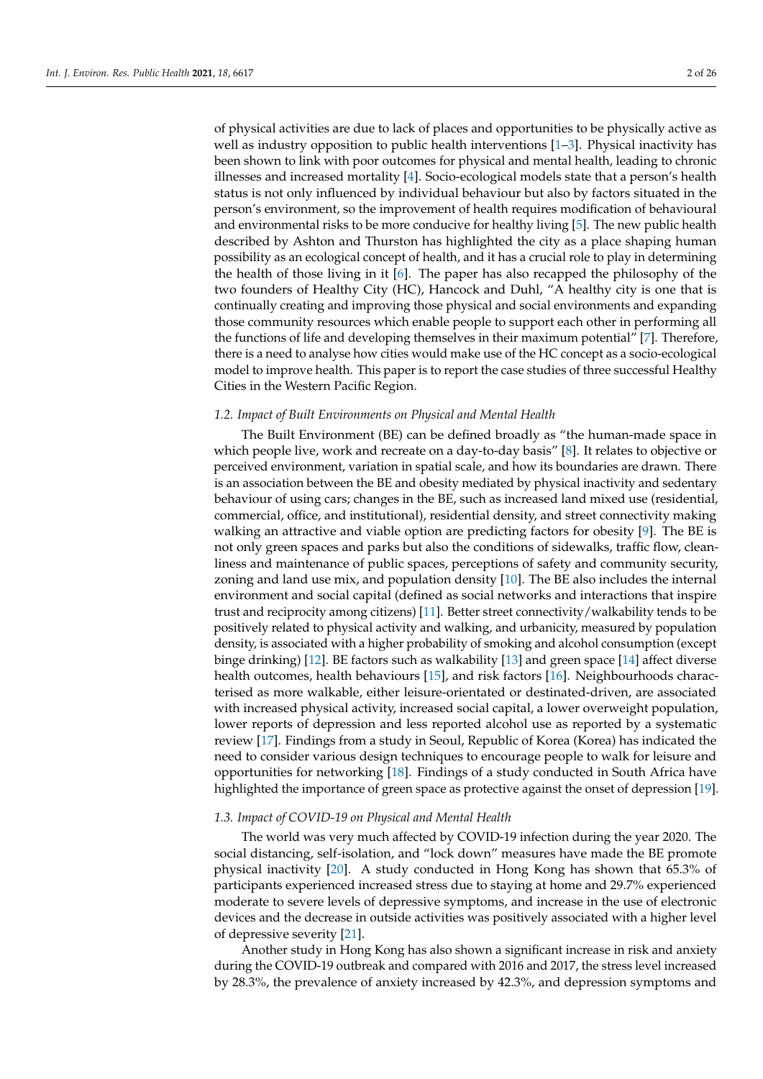of physical activities are due to lack of places and opportunities to be physically active as well as industry opposition to public health interventions  $[1-3]$  $[1-3]$ . Physical inactivity has been shown to link with poor outcomes for physical and mental health, leading to chronic illnesses and increased mortality [\[4\]](#page-23-3). Socio-ecological models state that a person's health status is not only influenced by individual behaviour but also by factors situated in the person's environment, so the improvement of health requires modification of behavioural and environmental risks to be more conducive for healthy living [\[5\]](#page-23-4). The new public health described by Ashton and Thurston has highlighted the city as a place shaping human possibility as an ecological concept of health, and it has a crucial role to play in determining the health of those living in it [\[6\]](#page-23-5). The paper has also recapped the philosophy of the two founders of Healthy City (HC), Hancock and Duhl, "A healthy city is one that is continually creating and improving those physical and social environments and expanding those community resources which enable people to support each other in performing all the functions of life and developing themselves in their maximum potential" [\[7\]](#page-23-6). Therefore, there is a need to analyse how cities would make use of the HC concept as a socio-ecological model to improve health. This paper is to report the case studies of three successful Healthy Cities in the Western Pacific Region.

## *1.2. Impact of Built Environments on Physical and Mental Health*

The Built Environment (BE) can be defined broadly as "the human-made space in which people live, work and recreate on a day-to-day basis" [\[8\]](#page-23-7). It relates to objective or perceived environment, variation in spatial scale, and how its boundaries are drawn. There is an association between the BE and obesity mediated by physical inactivity and sedentary behaviour of using cars; changes in the BE, such as increased land mixed use (residential, commercial, office, and institutional), residential density, and street connectivity making walking an attractive and viable option are predicting factors for obesity [\[9\]](#page-23-8). The BE is not only green spaces and parks but also the conditions of sidewalks, traffic flow, cleanliness and maintenance of public spaces, perceptions of safety and community security, zoning and land use mix, and population density [\[10\]](#page-23-9). The BE also includes the internal environment and social capital (defined as social networks and interactions that inspire trust and reciprocity among citizens) [\[11\]](#page-23-10). Better street connectivity/walkability tends to be positively related to physical activity and walking, and urbanicity, measured by population density, is associated with a higher probability of smoking and alcohol consumption (except binge drinking) [\[12\]](#page-23-11). BE factors such as walkability [\[13\]](#page-23-12) and green space [\[14\]](#page-23-13) affect diverse health outcomes, health behaviours [\[15\]](#page-23-14), and risk factors [\[16\]](#page-23-15). Neighbourhoods characterised as more walkable, either leisure-orientated or destinated-driven, are associated with increased physical activity, increased social capital, a lower overweight population, lower reports of depression and less reported alcohol use as reported by a systematic review [\[17\]](#page-23-16). Findings from a study in Seoul, Republic of Korea (Korea) has indicated the need to consider various design techniques to encourage people to walk for leisure and opportunities for networking [\[18\]](#page-23-17). Findings of a study conducted in South Africa have highlighted the importance of green space as protective against the onset of depression [\[19\]](#page-23-18).

# *1.3. Impact of COVID-19 on Physical and Mental Health*

The world was very much affected by COVID-19 infection during the year 2020. The social distancing, self-isolation, and "lock down" measures have made the BE promote physical inactivity [\[20\]](#page-23-19). A study conducted in Hong Kong has shown that 65.3% of participants experienced increased stress due to staying at home and 29.7% experienced moderate to severe levels of depressive symptoms, and increase in the use of electronic devices and the decrease in outside activities was positively associated with a higher level of depressive severity [\[21\]](#page-23-20).

Another study in Hong Kong has also shown a significant increase in risk and anxiety during the COVID-19 outbreak and compared with 2016 and 2017, the stress level increased by 28.3%, the prevalence of anxiety increased by 42.3%, and depression symptoms and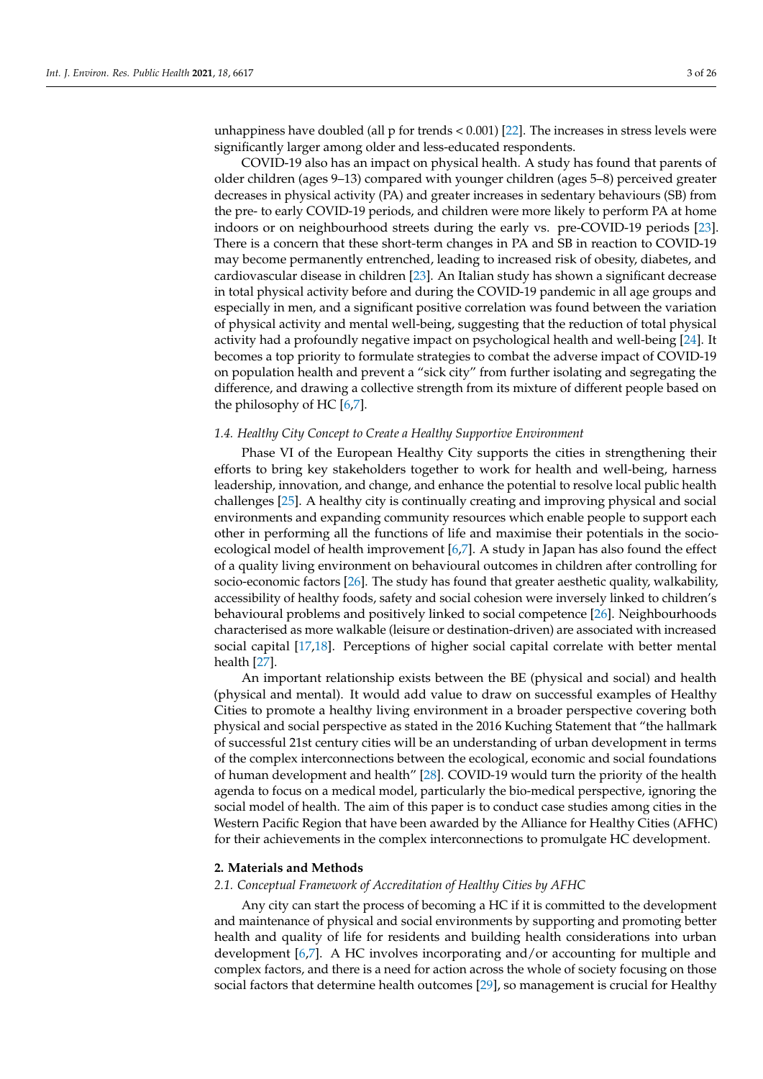unhappiness have doubled (all p for trends < 0.001) [\[22\]](#page-23-21). The increases in stress levels were significantly larger among older and less-educated respondents.

COVID-19 also has an impact on physical health. A study has found that parents of older children (ages 9–13) compared with younger children (ages 5–8) perceived greater decreases in physical activity (PA) and greater increases in sedentary behaviours (SB) from the pre- to early COVID-19 periods, and children were more likely to perform PA at home indoors or on neighbourhood streets during the early vs. pre-COVID-19 periods [\[23\]](#page-23-22). There is a concern that these short-term changes in PA and SB in reaction to COVID-19 may become permanently entrenched, leading to increased risk of obesity, diabetes, and cardiovascular disease in children [\[23\]](#page-23-22). An Italian study has shown a significant decrease in total physical activity before and during the COVID-19 pandemic in all age groups and especially in men, and a significant positive correlation was found between the variation of physical activity and mental well-being, suggesting that the reduction of total physical activity had a profoundly negative impact on psychological health and well-being [\[24\]](#page-23-23). It becomes a top priority to formulate strategies to combat the adverse impact of COVID-19 on population health and prevent a "sick city" from further isolating and segregating the difference, and drawing a collective strength from its mixture of different people based on the philosophy of HC [\[6](#page-23-5)[,7\]](#page-23-6).

#### *1.4. Healthy City Concept to Create a Healthy Supportive Environment*

Phase VI of the European Healthy City supports the cities in strengthening their efforts to bring key stakeholders together to work for health and well-being, harness leadership, innovation, and change, and enhance the potential to resolve local public health challenges [\[25\]](#page-23-24). A healthy city is continually creating and improving physical and social environments and expanding community resources which enable people to support each other in performing all the functions of life and maximise their potentials in the socioecological model of health improvement [\[6](#page-23-5)[,7\]](#page-23-6). A study in Japan has also found the effect of a quality living environment on behavioural outcomes in children after controlling for socio-economic factors [\[26\]](#page-23-25). The study has found that greater aesthetic quality, walkability, accessibility of healthy foods, safety and social cohesion were inversely linked to children's behavioural problems and positively linked to social competence [\[26\]](#page-23-25). Neighbourhoods characterised as more walkable (leisure or destination-driven) are associated with increased social capital [\[17,](#page-23-16)[18\]](#page-23-17). Perceptions of higher social capital correlate with better mental health [\[27\]](#page-24-0).

An important relationship exists between the BE (physical and social) and health (physical and mental). It would add value to draw on successful examples of Healthy Cities to promote a healthy living environment in a broader perspective covering both physical and social perspective as stated in the 2016 Kuching Statement that "the hallmark of successful 21st century cities will be an understanding of urban development in terms of the complex interconnections between the ecological, economic and social foundations of human development and health" [\[28\]](#page-24-1). COVID-19 would turn the priority of the health agenda to focus on a medical model, particularly the bio-medical perspective, ignoring the social model of health. The aim of this paper is to conduct case studies among cities in the Western Pacific Region that have been awarded by the Alliance for Healthy Cities (AFHC) for their achievements in the complex interconnections to promulgate HC development.

#### **2. Materials and Methods**

## *2.1. Conceptual Framework of Accreditation of Healthy Cities by AFHC*

Any city can start the process of becoming a HC if it is committed to the development and maintenance of physical and social environments by supporting and promoting better health and quality of life for residents and building health considerations into urban development [\[6](#page-23-5)[,7\]](#page-23-6). A HC involves incorporating and/or accounting for multiple and complex factors, and there is a need for action across the whole of society focusing on those social factors that determine health outcomes [\[29\]](#page-24-2), so management is crucial for Healthy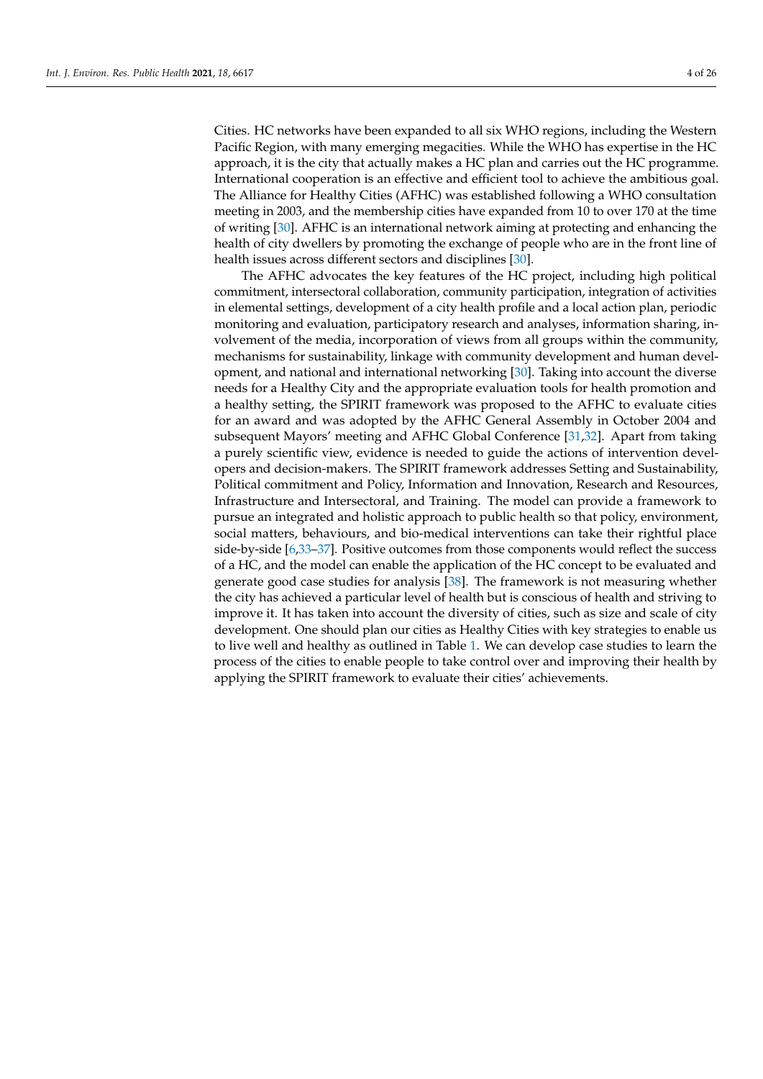Cities. HC networks have been expanded to all six WHO regions, including the Western Pacific Region, with many emerging megacities. While the WHO has expertise in the HC approach, it is the city that actually makes a HC plan and carries out the HC programme. International cooperation is an effective and efficient tool to achieve the ambitious goal. The Alliance for Healthy Cities (AFHC) was established following a WHO consultation meeting in 2003, and the membership cities have expanded from 10 to over 170 at the time of writing [\[30\]](#page-24-3). AFHC is an international network aiming at protecting and enhancing the health of city dwellers by promoting the exchange of people who are in the front line of health issues across different sectors and disciplines [\[30\]](#page-24-3).

The AFHC advocates the key features of the HC project, including high political commitment, intersectoral collaboration, community participation, integration of activities in elemental settings, development of a city health profile and a local action plan, periodic monitoring and evaluation, participatory research and analyses, information sharing, involvement of the media, incorporation of views from all groups within the community, mechanisms for sustainability, linkage with community development and human development, and national and international networking [\[30\]](#page-24-3). Taking into account the diverse needs for a Healthy City and the appropriate evaluation tools for health promotion and a healthy setting, the SPIRIT framework was proposed to the AFHC to evaluate cities for an award and was adopted by the AFHC General Assembly in October 2004 and subsequent Mayors' meeting and AFHC Global Conference [\[31,](#page-24-4)[32\]](#page-24-5). Apart from taking a purely scientific view, evidence is needed to guide the actions of intervention developers and decision-makers. The SPIRIT framework addresses Setting and Sustainability, Political commitment and Policy, Information and Innovation, Research and Resources, Infrastructure and Intersectoral, and Training. The model can provide a framework to pursue an integrated and holistic approach to public health so that policy, environment, social matters, behaviours, and bio-medical interventions can take their rightful place side-by-side [\[6,](#page-23-5)[33–](#page-24-6)[37\]](#page-24-7). Positive outcomes from those components would reflect the success of a HC, and the model can enable the application of the HC concept to be evaluated and generate good case studies for analysis [\[38\]](#page-24-8). The framework is not measuring whether the city has achieved a particular level of health but is conscious of health and striving to improve it. It has taken into account the diversity of cities, such as size and scale of city development. One should plan our cities as Healthy Cities with key strategies to enable us to live well and healthy as outlined in Table [1.](#page-4-0) We can develop case studies to learn the process of the cities to enable people to take control over and improving their health by applying the SPIRIT framework to evaluate their cities' achievements.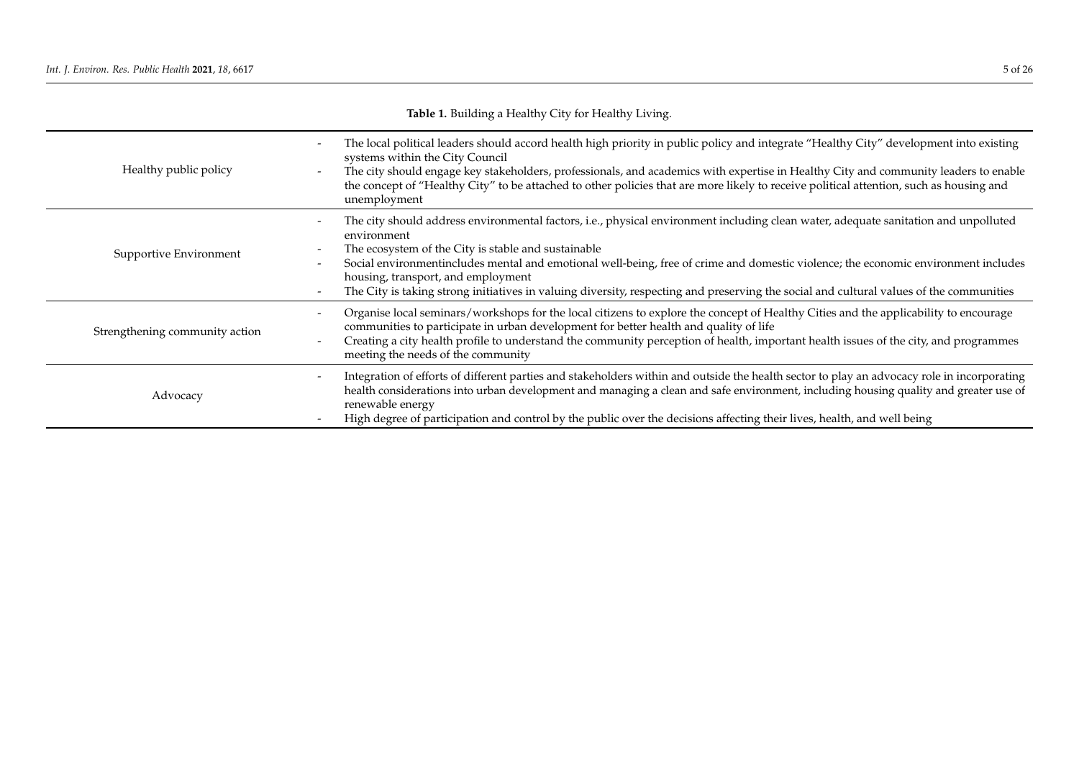<span id="page-4-0"></span>

| <b>Table 1.</b> Dunding a Healthy City for Healthy Living. |                                                                                                                                                                                                                                                                                                                                                                                                                                                                                                                                  |  |
|------------------------------------------------------------|----------------------------------------------------------------------------------------------------------------------------------------------------------------------------------------------------------------------------------------------------------------------------------------------------------------------------------------------------------------------------------------------------------------------------------------------------------------------------------------------------------------------------------|--|
| Healthy public policy                                      | The local political leaders should accord health high priority in public policy and integrate "Healthy City" development into existing<br>systems within the City Council<br>The city should engage key stakeholders, professionals, and academics with expertise in Healthy City and community leaders to enable<br>the concept of "Healthy City" to be attached to other policies that are more likely to receive political attention, such as housing and<br>unemployment                                                     |  |
| Supportive Environment                                     | The city should address environmental factors, i.e., physical environment including clean water, adequate sanitation and unpolluted<br>environment<br>The ecosystem of the City is stable and sustainable<br>Social environmentincludes mental and emotional well-being, free of crime and domestic violence; the economic environment includes<br>housing, transport, and employment<br>The City is taking strong initiatives in valuing diversity, respecting and preserving the social and cultural values of the communities |  |
| Strengthening community action                             | Organise local seminars/workshops for the local citizens to explore the concept of Healthy Cities and the applicability to encourage<br>communities to participate in urban development for better health and quality of life<br>Creating a city health profile to understand the community perception of health, important health issues of the city, and programmes<br>$\overline{\phantom{0}}$<br>meeting the needs of the community                                                                                          |  |
| Advocacy                                                   | Integration of efforts of different parties and stakeholders within and outside the health sector to play an advocacy role in incorporating<br>$\overline{\phantom{a}}$<br>health considerations into urban development and managing a clean and safe environment, including housing quality and greater use of<br>renewable energy<br>High degree of participation and control by the public over the decisions affecting their lives, health, and well being                                                                   |  |

# **Table 1.** Building a Healthy City for Healthy Living.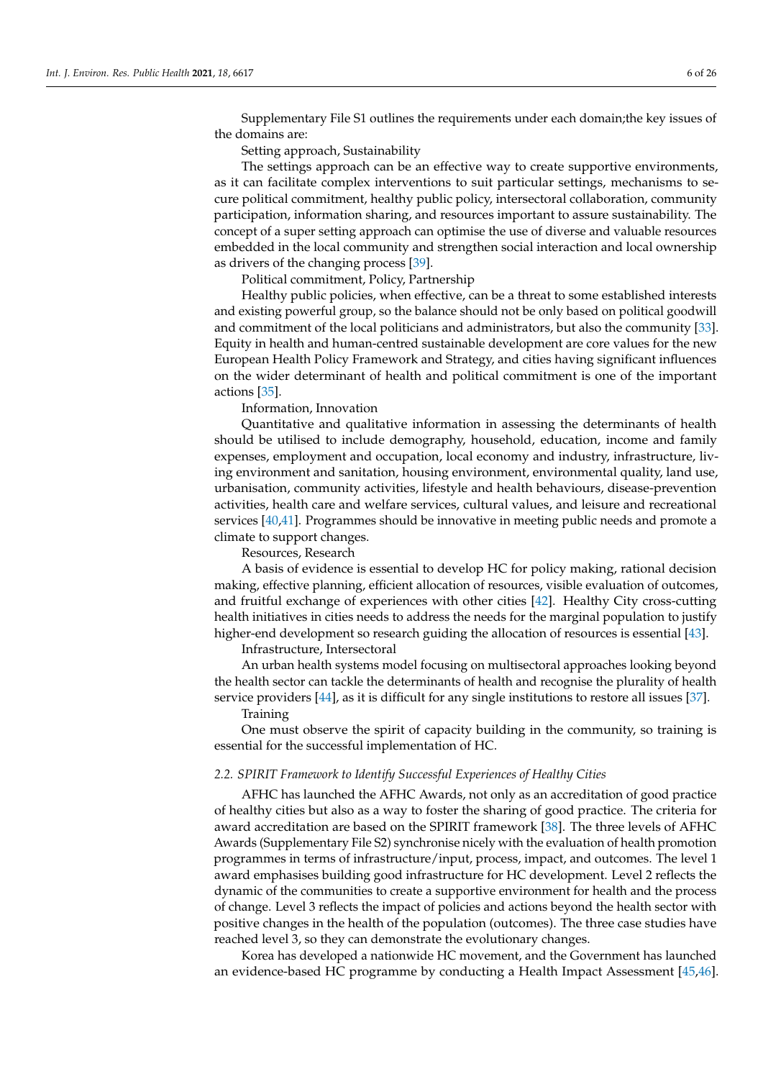Supplementary File S1 outlines the requirements under each domain;the key issues of the domains are:

Setting approach, Sustainability

The settings approach can be an effective way to create supportive environments, as it can facilitate complex interventions to suit particular settings, mechanisms to secure political commitment, healthy public policy, intersectoral collaboration, community participation, information sharing, and resources important to assure sustainability. The concept of a super setting approach can optimise the use of diverse and valuable resources embedded in the local community and strengthen social interaction and local ownership as drivers of the changing process [\[39\]](#page-24-9).

Political commitment, Policy, Partnership

Healthy public policies, when effective, can be a threat to some established interests and existing powerful group, so the balance should not be only based on political goodwill and commitment of the local politicians and administrators, but also the community [\[33\]](#page-24-6). Equity in health and human-centred sustainable development are core values for the new European Health Policy Framework and Strategy, and cities having significant influences on the wider determinant of health and political commitment is one of the important actions [\[35\]](#page-24-10).

Information, Innovation

Quantitative and qualitative information in assessing the determinants of health should be utilised to include demography, household, education, income and family expenses, employment and occupation, local economy and industry, infrastructure, living environment and sanitation, housing environment, environmental quality, land use, urbanisation, community activities, lifestyle and health behaviours, disease-prevention activities, health care and welfare services, cultural values, and leisure and recreational services [\[40,](#page-24-11)[41\]](#page-24-12). Programmes should be innovative in meeting public needs and promote a climate to support changes.

Resources, Research

A basis of evidence is essential to develop HC for policy making, rational decision making, effective planning, efficient allocation of resources, visible evaluation of outcomes, and fruitful exchange of experiences with other cities [\[42\]](#page-24-13). Healthy City cross-cutting health initiatives in cities needs to address the needs for the marginal population to justify higher-end development so research guiding the allocation of resources is essential [\[43\]](#page-24-14).

Infrastructure, Intersectoral

An urban health systems model focusing on multisectoral approaches looking beyond the health sector can tackle the determinants of health and recognise the plurality of health service providers [\[44\]](#page-24-15), as it is difficult for any single institutions to restore all issues [\[37\]](#page-24-7).

#### Training

One must observe the spirit of capacity building in the community, so training is essential for the successful implementation of HC.

#### *2.2. SPIRIT Framework to Identify Successful Experiences of Healthy Cities*

AFHC has launched the AFHC Awards, not only as an accreditation of good practice of healthy cities but also as a way to foster the sharing of good practice. The criteria for award accreditation are based on the SPIRIT framework [\[38\]](#page-24-8). The three levels of AFHC Awards (Supplementary File S2) synchronise nicely with the evaluation of health promotion programmes in terms of infrastructure/input, process, impact, and outcomes. The level 1 award emphasises building good infrastructure for HC development. Level 2 reflects the dynamic of the communities to create a supportive environment for health and the process of change. Level 3 reflects the impact of policies and actions beyond the health sector with positive changes in the health of the population (outcomes). The three case studies have reached level 3, so they can demonstrate the evolutionary changes.

Korea has developed a nationwide HC movement, and the Government has launched an evidence-based HC programme by conducting a Health Impact Assessment [\[45,](#page-24-16)[46\]](#page-24-17).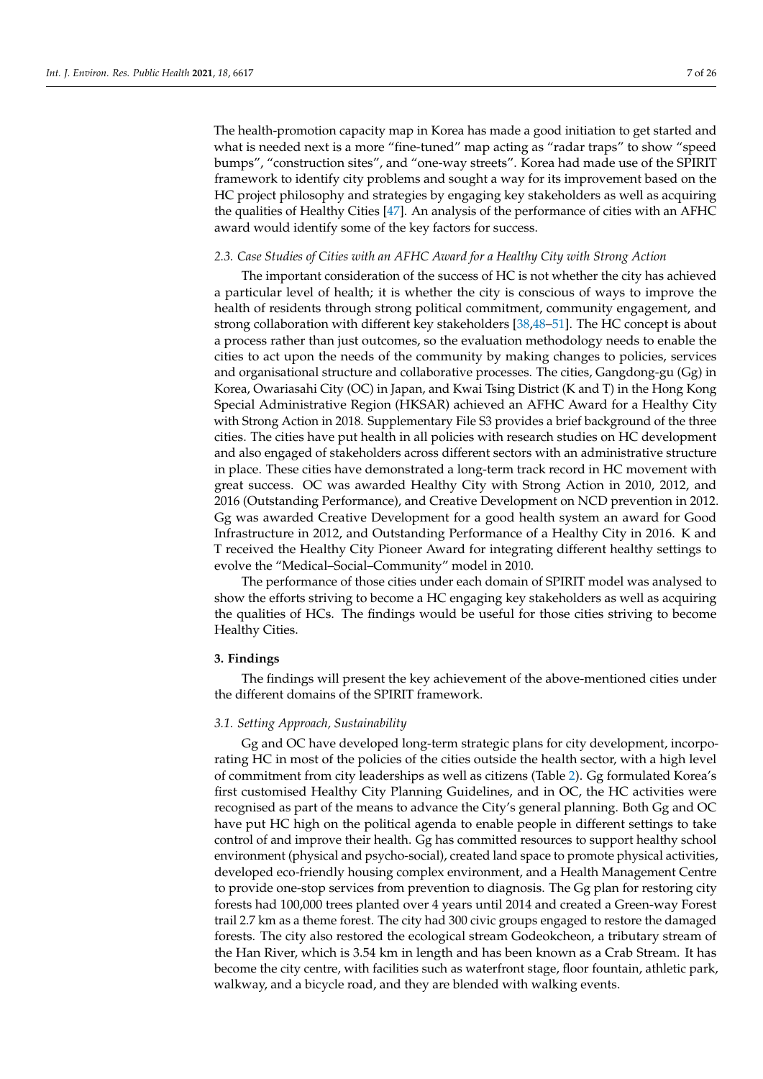The health-promotion capacity map in Korea has made a good initiation to get started and what is needed next is a more "fine-tuned" map acting as "radar traps" to show "speed bumps", "construction sites", and "one-way streets". Korea had made use of the SPIRIT framework to identify city problems and sought a way for its improvement based on the HC project philosophy and strategies by engaging key stakeholders as well as acquiring the qualities of Healthy Cities [\[47\]](#page-24-18). An analysis of the performance of cities with an AFHC award would identify some of the key factors for success.

#### *2.3. Case Studies of Cities with an AFHC Award for a Healthy City with Strong Action*

The important consideration of the success of HC is not whether the city has achieved a particular level of health; it is whether the city is conscious of ways to improve the health of residents through strong political commitment, community engagement, and strong collaboration with different key stakeholders [\[38](#page-24-8)[,48–](#page-24-19)[51\]](#page-24-20). The HC concept is about a process rather than just outcomes, so the evaluation methodology needs to enable the cities to act upon the needs of the community by making changes to policies, services and organisational structure and collaborative processes. The cities, Gangdong-gu (Gg) in Korea, Owariasahi City (OC) in Japan, and Kwai Tsing District (K and T) in the Hong Kong Special Administrative Region (HKSAR) achieved an AFHC Award for a Healthy City with Strong Action in 2018. Supplementary File S3 provides a brief background of the three cities. The cities have put health in all policies with research studies on HC development and also engaged of stakeholders across different sectors with an administrative structure in place. These cities have demonstrated a long-term track record in HC movement with great success. OC was awarded Healthy City with Strong Action in 2010, 2012, and 2016 (Outstanding Performance), and Creative Development on NCD prevention in 2012. Gg was awarded Creative Development for a good health system an award for Good Infrastructure in 2012, and Outstanding Performance of a Healthy City in 2016. K and T received the Healthy City Pioneer Award for integrating different healthy settings to evolve the "Medical–Social–Community" model in 2010.

The performance of those cities under each domain of SPIRIT model was analysed to show the efforts striving to become a HC engaging key stakeholders as well as acquiring the qualities of HCs. The findings would be useful for those cities striving to become Healthy Cities.

#### **3. Findings**

The findings will present the key achievement of the above-mentioned cities under the different domains of the SPIRIT framework.

## *3.1. Setting Approach, Sustainability*

Gg and OC have developed long-term strategic plans for city development, incorporating HC in most of the policies of the cities outside the health sector, with a high level of commitment from city leaderships as well as citizens (Table [2\)](#page-9-0). Gg formulated Korea's first customised Healthy City Planning Guidelines, and in OC, the HC activities were recognised as part of the means to advance the City's general planning. Both Gg and OC have put HC high on the political agenda to enable people in different settings to take control of and improve their health. Gg has committed resources to support healthy school environment (physical and psycho-social), created land space to promote physical activities, developed eco-friendly housing complex environment, and a Health Management Centre to provide one-stop services from prevention to diagnosis. The Gg plan for restoring city forests had 100,000 trees planted over 4 years until 2014 and created a Green-way Forest trail 2.7 km as a theme forest. The city had 300 civic groups engaged to restore the damaged forests. The city also restored the ecological stream Godeokcheon, a tributary stream of the Han River, which is 3.54 km in length and has been known as a Crab Stream. It has become the city centre, with facilities such as waterfront stage, floor fountain, athletic park, walkway, and a bicycle road, and they are blended with walking events.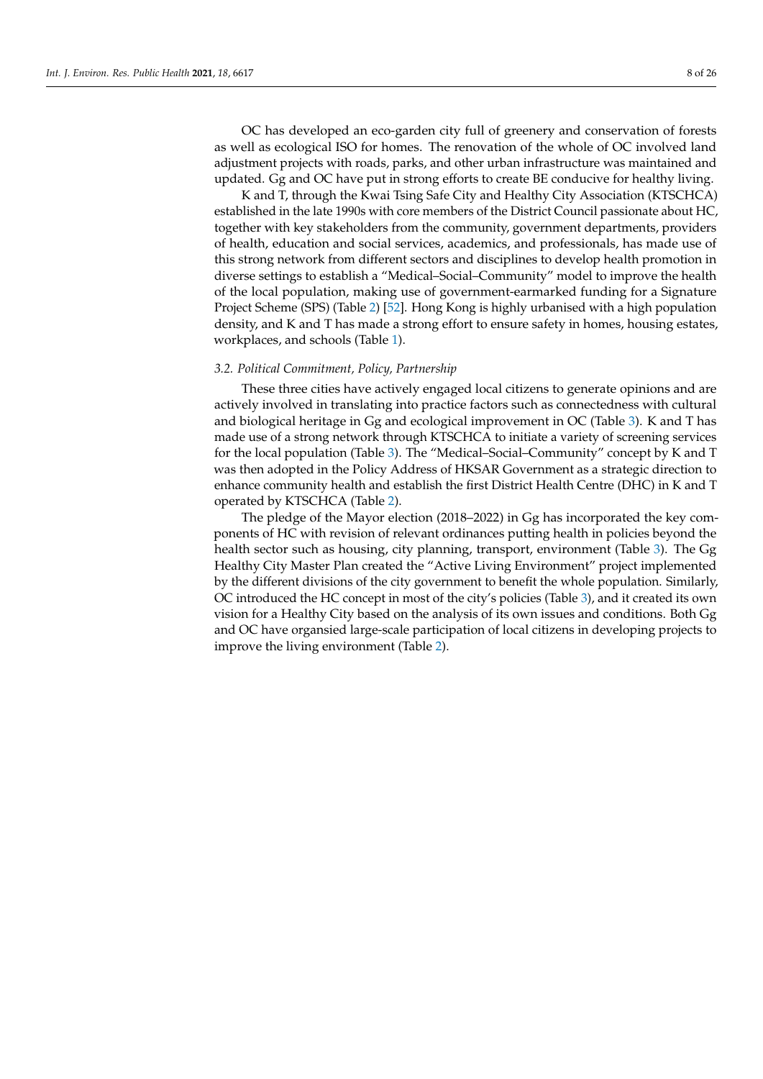OC has developed an eco-garden city full of greenery and conservation of forests as well as ecological ISO for homes. The renovation of the whole of OC involved land adjustment projects with roads, parks, and other urban infrastructure was maintained and updated. Gg and OC have put in strong efforts to create BE conducive for healthy living.

K and T, through the Kwai Tsing Safe City and Healthy City Association (KTSCHCA) established in the late 1990s with core members of the District Council passionate about HC, together with key stakeholders from the community, government departments, providers of health, education and social services, academics, and professionals, has made use of this strong network from different sectors and disciplines to develop health promotion in diverse settings to establish a "Medical–Social–Community" model to improve the health of the local population, making use of government-earmarked funding for a Signature Project Scheme (SPS) (Table [2\)](#page-9-0) [\[52\]](#page-24-21). Hong Kong is highly urbanised with a high population density, and K and T has made a strong effort to ensure safety in homes, housing estates, workplaces, and schools (Table [1\)](#page-4-0).

## *3.2. Political Commitment, Policy, Partnership*

These three cities have actively engaged local citizens to generate opinions and are actively involved in translating into practice factors such as connectedness with cultural and biological heritage in Gg and ecological improvement in OC (Table [3\)](#page-13-0). K and T has made use of a strong network through KTSCHCA to initiate a variety of screening services for the local population (Table [3\)](#page-13-0). The "Medical–Social–Community" concept by K and T was then adopted in the Policy Address of HKSAR Government as a strategic direction to enhance community health and establish the first District Health Centre (DHC) in K and T operated by KTSCHCA (Table [2\)](#page-9-0).

The pledge of the Mayor election (2018–2022) in Gg has incorporated the key components of HC with revision of relevant ordinances putting health in policies beyond the health sector such as housing, city planning, transport, environment (Table [3\)](#page-13-0). The Gg Healthy City Master Plan created the "Active Living Environment" project implemented by the different divisions of the city government to benefit the whole population. Similarly, OC introduced the HC concept in most of the city's policies (Table [3\)](#page-13-0), and it created its own vision for a Healthy City based on the analysis of its own issues and conditions. Both Gg and OC have organsied large-scale participation of local citizens in developing projects to improve the living environment (Table [2\)](#page-9-0).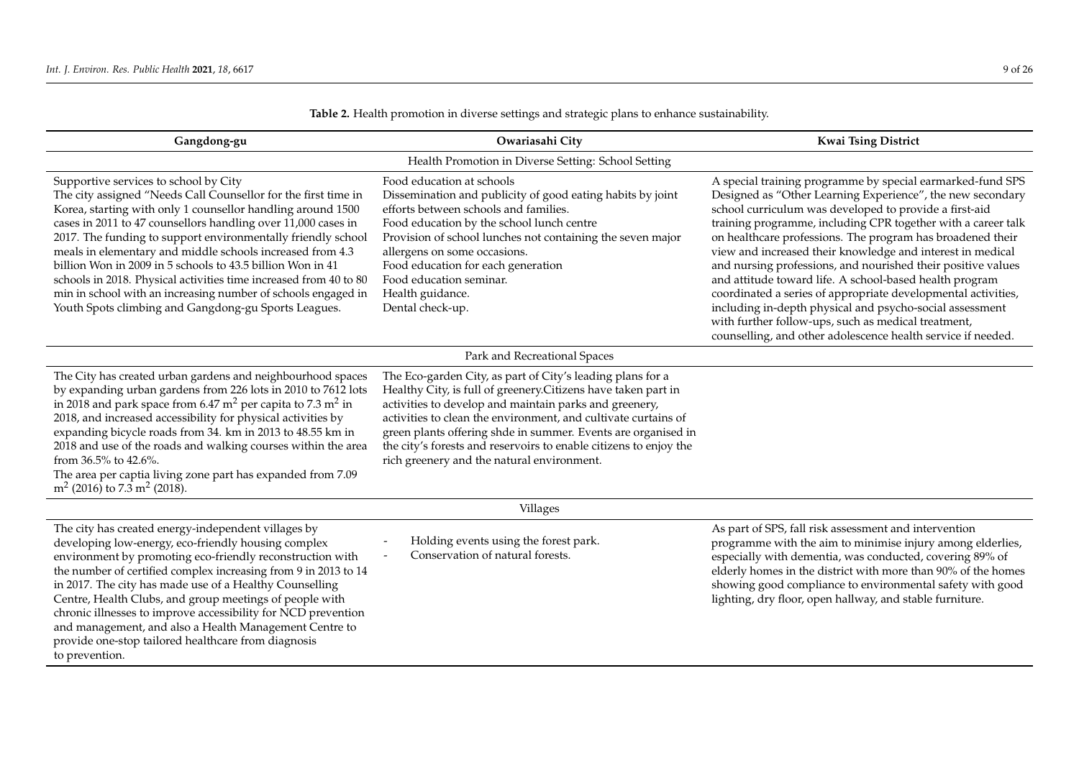| Gangdong-gu                                                                                                                                                                                                                                                                                                                                                                                                                                                                                                                                                                                                                      | Owariasahi City                                                                                                                                                                                                                                                                                                                                                                                                                              | <b>Kwai Tsing District</b>                                                                                                                                                                                                                                                                                                                                                                                                                                                                                                                                                                                                                                                                                                                                     |  |
|----------------------------------------------------------------------------------------------------------------------------------------------------------------------------------------------------------------------------------------------------------------------------------------------------------------------------------------------------------------------------------------------------------------------------------------------------------------------------------------------------------------------------------------------------------------------------------------------------------------------------------|----------------------------------------------------------------------------------------------------------------------------------------------------------------------------------------------------------------------------------------------------------------------------------------------------------------------------------------------------------------------------------------------------------------------------------------------|----------------------------------------------------------------------------------------------------------------------------------------------------------------------------------------------------------------------------------------------------------------------------------------------------------------------------------------------------------------------------------------------------------------------------------------------------------------------------------------------------------------------------------------------------------------------------------------------------------------------------------------------------------------------------------------------------------------------------------------------------------------|--|
|                                                                                                                                                                                                                                                                                                                                                                                                                                                                                                                                                                                                                                  | Health Promotion in Diverse Setting: School Setting                                                                                                                                                                                                                                                                                                                                                                                          |                                                                                                                                                                                                                                                                                                                                                                                                                                                                                                                                                                                                                                                                                                                                                                |  |
| Supportive services to school by City<br>The city assigned "Needs Call Counsellor for the first time in<br>Korea, starting with only 1 counsellor handling around 1500<br>cases in 2011 to 47 counsellors handling over 11,000 cases in<br>2017. The funding to support environmentally friendly school<br>meals in elementary and middle schools increased from 4.3<br>billion Won in 2009 in 5 schools to 43.5 billion Won in 41<br>schools in 2018. Physical activities time increased from 40 to 80<br>min in school with an increasing number of schools engaged in<br>Youth Spots climbing and Gangdong-gu Sports Leagues. | Food education at schools<br>Dissemination and publicity of good eating habits by joint<br>efforts between schools and families.<br>Food education by the school lunch centre<br>Provision of school lunches not containing the seven major<br>allergens on some occasions.<br>Food education for each generation<br>Food education seminar.<br>Health guidance.<br>Dental check-up.                                                         | A special training programme by special earmarked-fund SPS<br>Designed as "Other Learning Experience", the new secondary<br>school curriculum was developed to provide a first-aid<br>training programme, including CPR together with a career talk<br>on healthcare professions. The program has broadened their<br>view and increased their knowledge and interest in medical<br>and nursing professions, and nourished their positive values<br>and attitude toward life. A school-based health program<br>coordinated a series of appropriate developmental activities,<br>including in-depth physical and psycho-social assessment<br>with further follow-ups, such as medical treatment,<br>counselling, and other adolescence health service if needed. |  |
|                                                                                                                                                                                                                                                                                                                                                                                                                                                                                                                                                                                                                                  | Park and Recreational Spaces                                                                                                                                                                                                                                                                                                                                                                                                                 |                                                                                                                                                                                                                                                                                                                                                                                                                                                                                                                                                                                                                                                                                                                                                                |  |
| The City has created urban gardens and neighbourhood spaces<br>by expanding urban gardens from 226 lots in 2010 to 7612 lots<br>in 2018 and park space from 6.47 $m2$ per capita to 7.3 $m2$ in<br>2018, and increased accessibility for physical activities by<br>expanding bicycle roads from 34. km in 2013 to 48.55 km in<br>2018 and use of the roads and walking courses within the area<br>from 36.5% to 42.6%.<br>The area per captia living zone part has expanded from 7.09<br>$m2$ (2016) to 7.3 m <sup>2</sup> (2018).                                                                                               | The Eco-garden City, as part of City's leading plans for a<br>Healthy City, is full of greenery. Citizens have taken part in<br>activities to develop and maintain parks and greenery,<br>activities to clean the environment, and cultivate curtains of<br>green plants offering shde in summer. Events are organised in<br>the city's forests and reservoirs to enable citizens to enjoy the<br>rich greenery and the natural environment. |                                                                                                                                                                                                                                                                                                                                                                                                                                                                                                                                                                                                                                                                                                                                                                |  |
| Villages                                                                                                                                                                                                                                                                                                                                                                                                                                                                                                                                                                                                                         |                                                                                                                                                                                                                                                                                                                                                                                                                                              |                                                                                                                                                                                                                                                                                                                                                                                                                                                                                                                                                                                                                                                                                                                                                                |  |
| The city has created energy-independent villages by<br>developing low-energy, eco-friendly housing complex<br>environment by promoting eco-friendly reconstruction with<br>the number of certified complex increasing from 9 in 2013 to 14<br>in 2017. The city has made use of a Healthy Counselling<br>Centre, Health Clubs, and group meetings of people with<br>chronic illnesses to improve accessibility for NCD prevention<br>and management, and also a Health Management Centre to<br>provide one-stop tailored healthcare from diagnosis<br>to prevention.                                                             | Holding events using the forest park.<br>Conservation of natural forests.                                                                                                                                                                                                                                                                                                                                                                    | As part of SPS, fall risk assessment and intervention<br>programme with the aim to minimise injury among elderlies,<br>especially with dementia, was conducted, covering 89% of<br>elderly homes in the district with more than 90% of the homes<br>showing good compliance to environmental safety with good<br>lighting, dry floor, open hallway, and stable furniture.                                                                                                                                                                                                                                                                                                                                                                                      |  |

**Table 2.** Health promotion in diverse settings and strategic plans to enhance sustainability.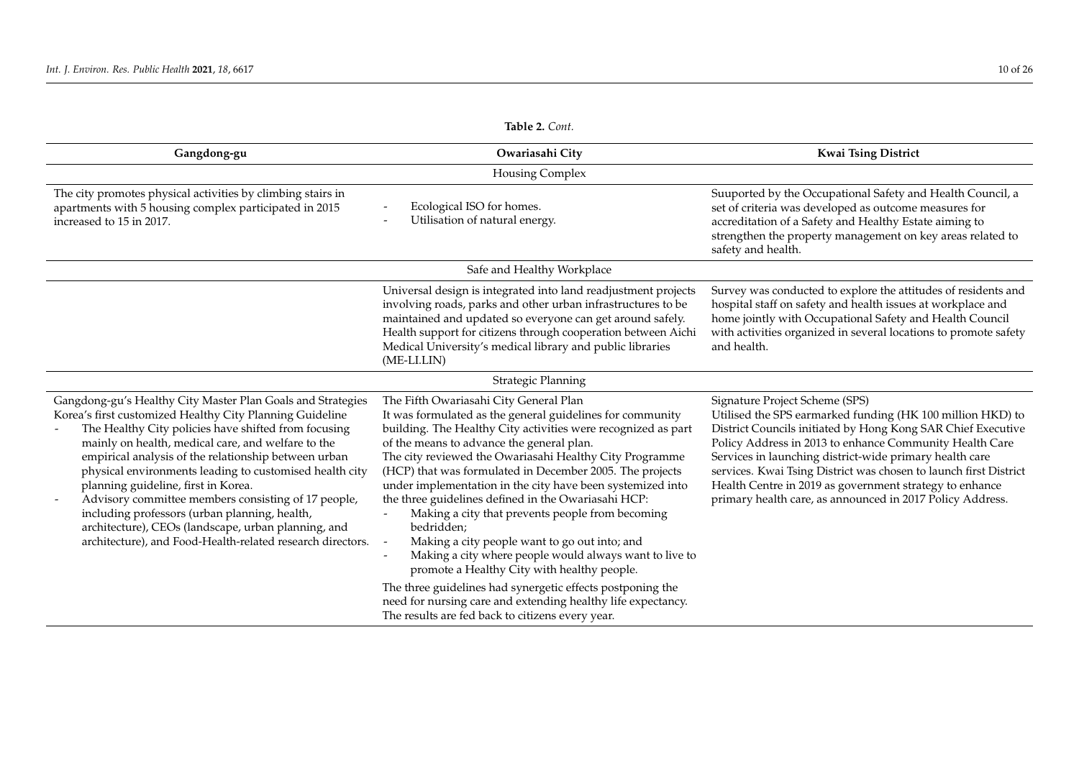<span id="page-9-0"></span>

| Gangdong-gu                                                                                                                                                                                                                                                                                                                                                                                                                                                                                                                                                                                                                  | Owariasahi City                                                                                                                                                                                                                                                                                                                                                                                                                                                                                                                                                                                                                                                                                                                                          | <b>Kwai Tsing District</b>                                                                                                                                                                                                                                                                                                                                                                                                                                                      |
|------------------------------------------------------------------------------------------------------------------------------------------------------------------------------------------------------------------------------------------------------------------------------------------------------------------------------------------------------------------------------------------------------------------------------------------------------------------------------------------------------------------------------------------------------------------------------------------------------------------------------|----------------------------------------------------------------------------------------------------------------------------------------------------------------------------------------------------------------------------------------------------------------------------------------------------------------------------------------------------------------------------------------------------------------------------------------------------------------------------------------------------------------------------------------------------------------------------------------------------------------------------------------------------------------------------------------------------------------------------------------------------------|---------------------------------------------------------------------------------------------------------------------------------------------------------------------------------------------------------------------------------------------------------------------------------------------------------------------------------------------------------------------------------------------------------------------------------------------------------------------------------|
|                                                                                                                                                                                                                                                                                                                                                                                                                                                                                                                                                                                                                              | Housing Complex                                                                                                                                                                                                                                                                                                                                                                                                                                                                                                                                                                                                                                                                                                                                          |                                                                                                                                                                                                                                                                                                                                                                                                                                                                                 |
| The city promotes physical activities by climbing stairs in<br>apartments with 5 housing complex participated in 2015<br>increased to 15 in 2017.                                                                                                                                                                                                                                                                                                                                                                                                                                                                            | Ecological ISO for homes.<br>Utilisation of natural energy.                                                                                                                                                                                                                                                                                                                                                                                                                                                                                                                                                                                                                                                                                              | Suuported by the Occupational Safety and Health Council, a<br>set of criteria was developed as outcome measures for<br>accreditation of a Safety and Healthy Estate aiming to<br>strengthen the property management on key areas related to<br>safety and health.                                                                                                                                                                                                               |
|                                                                                                                                                                                                                                                                                                                                                                                                                                                                                                                                                                                                                              | Safe and Healthy Workplace                                                                                                                                                                                                                                                                                                                                                                                                                                                                                                                                                                                                                                                                                                                               |                                                                                                                                                                                                                                                                                                                                                                                                                                                                                 |
|                                                                                                                                                                                                                                                                                                                                                                                                                                                                                                                                                                                                                              | Universal design is integrated into land readjustment projects<br>involving roads, parks and other urban infrastructures to be<br>maintained and updated so everyone can get around safely.<br>Health support for citizens through cooperation between Aichi<br>Medical University's medical library and public libraries<br>(ME-LI.LIN)                                                                                                                                                                                                                                                                                                                                                                                                                 | Survey was conducted to explore the attitudes of residents and<br>hospital staff on safety and health issues at workplace and<br>home jointly with Occupational Safety and Health Council<br>with activities organized in several locations to promote safety<br>and health.                                                                                                                                                                                                    |
|                                                                                                                                                                                                                                                                                                                                                                                                                                                                                                                                                                                                                              | Strategic Planning                                                                                                                                                                                                                                                                                                                                                                                                                                                                                                                                                                                                                                                                                                                                       |                                                                                                                                                                                                                                                                                                                                                                                                                                                                                 |
| Gangdong-gu's Healthy City Master Plan Goals and Strategies<br>Korea's first customized Healthy City Planning Guideline<br>The Healthy City policies have shifted from focusing<br>mainly on health, medical care, and welfare to the<br>empirical analysis of the relationship between urban<br>physical environments leading to customised health city<br>planning guideline, first in Korea.<br>Advisory committee members consisting of 17 people,<br>including professors (urban planning, health,<br>architecture), CEOs (landscape, urban planning, and<br>architecture), and Food-Health-related research directors. | The Fifth Owariasahi City General Plan<br>It was formulated as the general guidelines for community<br>building. The Healthy City activities were recognized as part<br>of the means to advance the general plan.<br>The city reviewed the Owariasahi Healthy City Programme<br>(HCP) that was formulated in December 2005. The projects<br>under implementation in the city have been systemized into<br>the three guidelines defined in the Owariasahi HCP:<br>Making a city that prevents people from becoming<br>bedridden;<br>Making a city people want to go out into; and<br>Making a city where people would always want to live to<br>promote a Healthy City with healthy people.<br>The three guidelines had synergetic effects postponing the | Signature Project Scheme (SPS)<br>Utilised the SPS earmarked funding (HK 100 million HKD) to<br>District Councils initiated by Hong Kong SAR Chief Executive<br>Policy Address in 2013 to enhance Community Health Care<br>Services in launching district-wide primary health care<br>services. Kwai Tsing District was chosen to launch first District<br>Health Centre in 2019 as government strategy to enhance<br>primary health care, as announced in 2017 Policy Address. |
|                                                                                                                                                                                                                                                                                                                                                                                                                                                                                                                                                                                                                              | need for nursing care and extending healthy life expectancy.<br>The results are fed back to citizens every year.                                                                                                                                                                                                                                                                                                                                                                                                                                                                                                                                                                                                                                         |                                                                                                                                                                                                                                                                                                                                                                                                                                                                                 |

**Table 2.** *Cont.*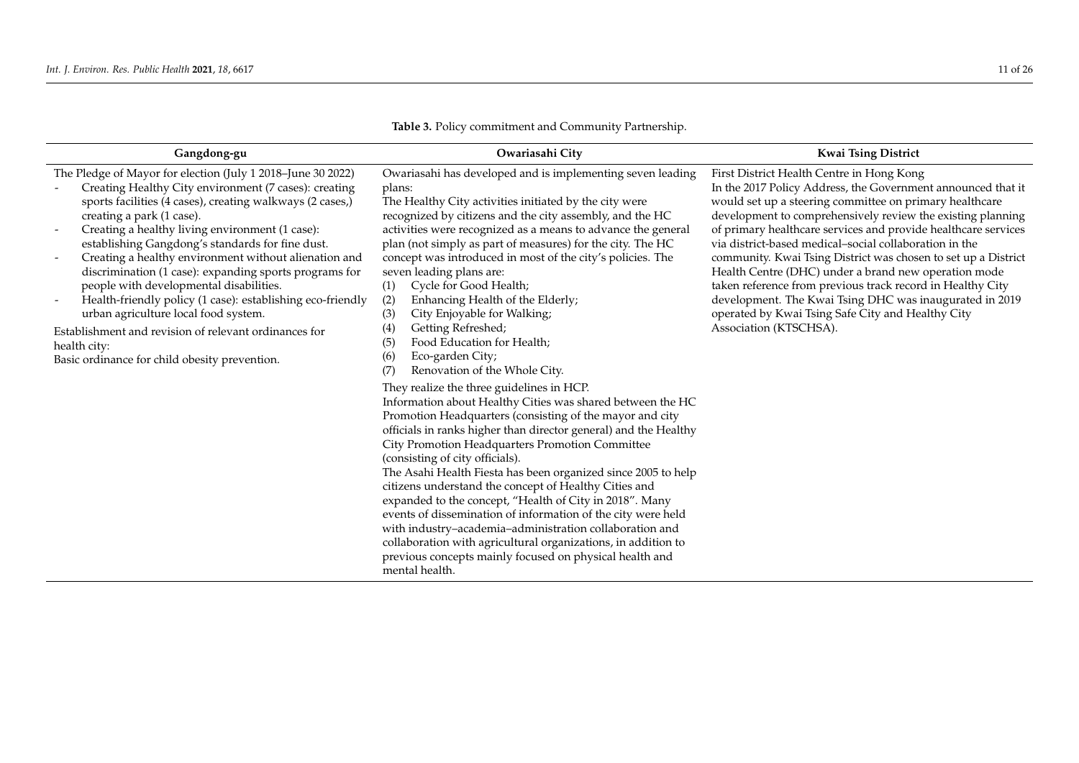| Gangdong-gu                                                                                                                                                                                                                                                                                                                                                                                                                                                                                                                                                                                                                                                                                                         | Owariasahi City                                                                                                                                                                                                                                                                                                                                                                                                                                                                                                                                                                                                                                                                                                                                                                      | <b>Kwai Tsing District</b>                                                                                                                                                                                                                                                                                                                                                                                                                                                                                                                                                                                                                                                                        |
|---------------------------------------------------------------------------------------------------------------------------------------------------------------------------------------------------------------------------------------------------------------------------------------------------------------------------------------------------------------------------------------------------------------------------------------------------------------------------------------------------------------------------------------------------------------------------------------------------------------------------------------------------------------------------------------------------------------------|--------------------------------------------------------------------------------------------------------------------------------------------------------------------------------------------------------------------------------------------------------------------------------------------------------------------------------------------------------------------------------------------------------------------------------------------------------------------------------------------------------------------------------------------------------------------------------------------------------------------------------------------------------------------------------------------------------------------------------------------------------------------------------------|---------------------------------------------------------------------------------------------------------------------------------------------------------------------------------------------------------------------------------------------------------------------------------------------------------------------------------------------------------------------------------------------------------------------------------------------------------------------------------------------------------------------------------------------------------------------------------------------------------------------------------------------------------------------------------------------------|
| The Pledge of Mayor for election (July 1 2018-June 30 2022)<br>Creating Healthy City environment (7 cases): creating<br>sports facilities (4 cases), creating walkways (2 cases,)<br>creating a park (1 case).<br>Creating a healthy living environment (1 case):<br>establishing Gangdong's standards for fine dust.<br>Creating a healthy environment without alienation and<br>discrimination (1 case): expanding sports programs for<br>people with developmental disabilities.<br>Health-friendly policy (1 case): establishing eco-friendly<br>urban agriculture local food system.<br>Establishment and revision of relevant ordinances for<br>health city:<br>Basic ordinance for child obesity prevention. | Owariasahi has developed and is implementing seven leading<br>plans:<br>The Healthy City activities initiated by the city were<br>recognized by citizens and the city assembly, and the HC<br>activities were recognized as a means to advance the general<br>plan (not simply as part of measures) for the city. The HC<br>concept was introduced in most of the city's policies. The<br>seven leading plans are:<br>Cycle for Good Health;<br>(1)<br>Enhancing Health of the Elderly;<br>(2)<br>City Enjoyable for Walking;<br>(3)<br>Getting Refreshed;<br>(4)<br>Food Education for Health;<br>(5)<br>Eco-garden City;<br>(6)<br>Renovation of the Whole City.<br>(7)<br>They realize the three guidelines in HCP.<br>Information about Healthy Cities was shared between the HC | First District Health Centre in Hong Kong<br>In the 2017 Policy Address, the Government announced that it<br>would set up a steering committee on primary healthcare<br>development to comprehensively review the existing planning<br>of primary healthcare services and provide healthcare services<br>via district-based medical-social collaboration in the<br>community. Kwai Tsing District was chosen to set up a District<br>Health Centre (DHC) under a brand new operation mode<br>taken reference from previous track record in Healthy City<br>development. The Kwai Tsing DHC was inaugurated in 2019<br>operated by Kwai Tsing Safe City and Healthy City<br>Association (KTSCHSA). |
|                                                                                                                                                                                                                                                                                                                                                                                                                                                                                                                                                                                                                                                                                                                     | Promotion Headquarters (consisting of the mayor and city<br>officials in ranks higher than director general) and the Healthy<br>City Promotion Headquarters Promotion Committee<br>(consisting of city officials).<br>The Asahi Health Fiesta has been organized since 2005 to help<br>citizens understand the concept of Healthy Cities and<br>expanded to the concept, "Health of City in 2018". Many<br>events of dissemination of information of the city were held<br>with industry-academia-administration collaboration and<br>collaboration with agricultural organizations, in addition to<br>previous concepts mainly focused on physical health and<br>mental health.                                                                                                     |                                                                                                                                                                                                                                                                                                                                                                                                                                                                                                                                                                                                                                                                                                   |

**Table 3.** Policy commitment and Community Partnership.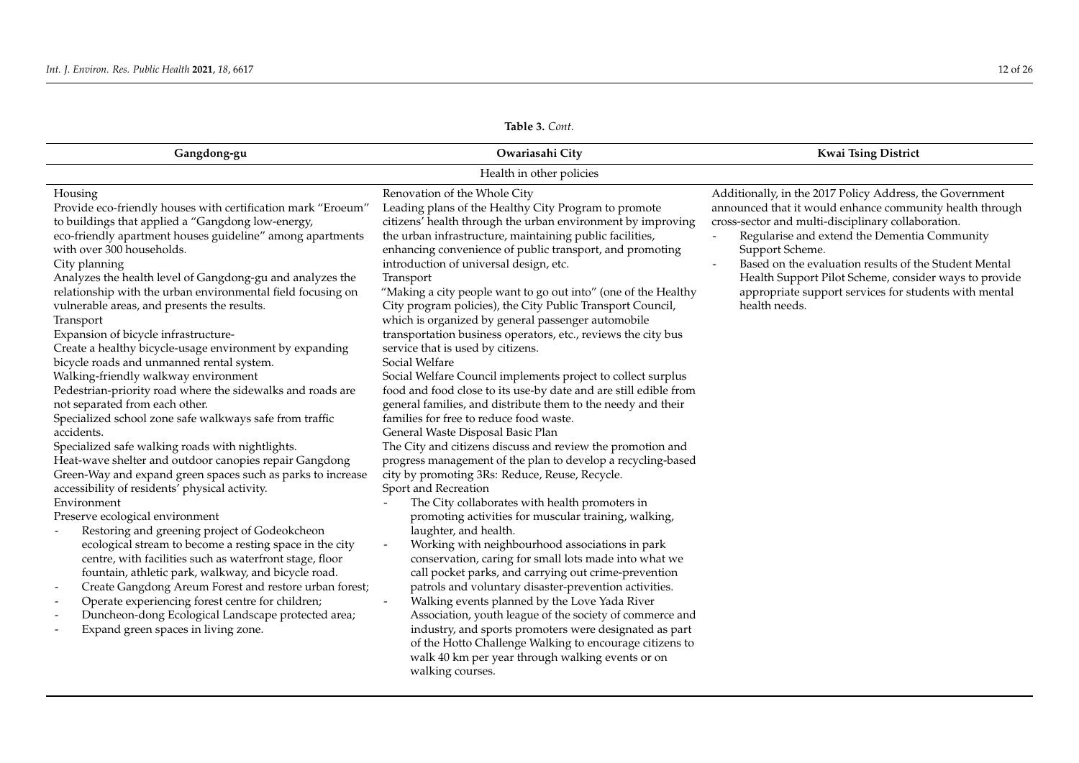| Table 3. Cont.                                                                                                                                                                                                                                                                                                                                                                                                                                                                                                                                                                                                                                                                                                                                                                                                                                                                                                                                                                                                                                                                                                                                                                                                                                                                                                                                                                                                                                                                                                             |                                                                                                                                                                                                                                                                                                                                                                                                                                                                                                                                                                                                                                                                                                                                                                                                                                                                                                                                                                                                                                                                                                                                                                                                                                                                                                                                                                                                                                                                                                                                                                                                                                                                                                                                                                                                                                                                      |                                                                                                                                                                                                                                                                                                                                                                                                                                           |  |
|----------------------------------------------------------------------------------------------------------------------------------------------------------------------------------------------------------------------------------------------------------------------------------------------------------------------------------------------------------------------------------------------------------------------------------------------------------------------------------------------------------------------------------------------------------------------------------------------------------------------------------------------------------------------------------------------------------------------------------------------------------------------------------------------------------------------------------------------------------------------------------------------------------------------------------------------------------------------------------------------------------------------------------------------------------------------------------------------------------------------------------------------------------------------------------------------------------------------------------------------------------------------------------------------------------------------------------------------------------------------------------------------------------------------------------------------------------------------------------------------------------------------------|----------------------------------------------------------------------------------------------------------------------------------------------------------------------------------------------------------------------------------------------------------------------------------------------------------------------------------------------------------------------------------------------------------------------------------------------------------------------------------------------------------------------------------------------------------------------------------------------------------------------------------------------------------------------------------------------------------------------------------------------------------------------------------------------------------------------------------------------------------------------------------------------------------------------------------------------------------------------------------------------------------------------------------------------------------------------------------------------------------------------------------------------------------------------------------------------------------------------------------------------------------------------------------------------------------------------------------------------------------------------------------------------------------------------------------------------------------------------------------------------------------------------------------------------------------------------------------------------------------------------------------------------------------------------------------------------------------------------------------------------------------------------------------------------------------------------------------------------------------------------|-------------------------------------------------------------------------------------------------------------------------------------------------------------------------------------------------------------------------------------------------------------------------------------------------------------------------------------------------------------------------------------------------------------------------------------------|--|
| Gangdong-gu                                                                                                                                                                                                                                                                                                                                                                                                                                                                                                                                                                                                                                                                                                                                                                                                                                                                                                                                                                                                                                                                                                                                                                                                                                                                                                                                                                                                                                                                                                                | Owariasahi City                                                                                                                                                                                                                                                                                                                                                                                                                                                                                                                                                                                                                                                                                                                                                                                                                                                                                                                                                                                                                                                                                                                                                                                                                                                                                                                                                                                                                                                                                                                                                                                                                                                                                                                                                                                                                                                      | <b>Kwai Tsing District</b>                                                                                                                                                                                                                                                                                                                                                                                                                |  |
|                                                                                                                                                                                                                                                                                                                                                                                                                                                                                                                                                                                                                                                                                                                                                                                                                                                                                                                                                                                                                                                                                                                                                                                                                                                                                                                                                                                                                                                                                                                            | Health in other policies                                                                                                                                                                                                                                                                                                                                                                                                                                                                                                                                                                                                                                                                                                                                                                                                                                                                                                                                                                                                                                                                                                                                                                                                                                                                                                                                                                                                                                                                                                                                                                                                                                                                                                                                                                                                                                             |                                                                                                                                                                                                                                                                                                                                                                                                                                           |  |
| Housing<br>Provide eco-friendly houses with certification mark "Eroeum"<br>to buildings that applied a "Gangdong low-energy,<br>eco-friendly apartment houses guideline" among apartments<br>with over 300 households.<br>City planning<br>Analyzes the health level of Gangdong-gu and analyzes the<br>relationship with the urban environmental field focusing on<br>vulnerable areas, and presents the results.<br>Transport<br>Expansion of bicycle infrastructure-<br>Create a healthy bicycle-usage environment by expanding<br>bicycle roads and unmanned rental system.<br>Walking-friendly walkway environment<br>Pedestrian-priority road where the sidewalks and roads are<br>not separated from each other.<br>Specialized school zone safe walkways safe from traffic<br>accidents.<br>Specialized safe walking roads with nightlights.<br>Heat-wave shelter and outdoor canopies repair Gangdong<br>Green-Way and expand green spaces such as parks to increase<br>accessibility of residents' physical activity.<br>Environment<br>Preserve ecological environment<br>Restoring and greening project of Godeokcheon<br>ecological stream to become a resting space in the city<br>centre, with facilities such as waterfront stage, floor<br>fountain, athletic park, walkway, and bicycle road.<br>Create Gangdong Areum Forest and restore urban forest;<br>Operate experiencing forest centre for children;<br>Duncheon-dong Ecological Landscape protected area;<br>Expand green spaces in living zone. | Renovation of the Whole City<br>Leading plans of the Healthy City Program to promote<br>citizens' health through the urban environment by improving<br>the urban infrastructure, maintaining public facilities,<br>enhancing convenience of public transport, and promoting<br>introduction of universal design, etc.<br>Transport<br>"Making a city people want to go out into" (one of the Healthy<br>City program policies), the City Public Transport Council,<br>which is organized by general passenger automobile<br>transportation business operators, etc., reviews the city bus<br>service that is used by citizens.<br>Social Welfare<br>Social Welfare Council implements project to collect surplus<br>food and food close to its use-by date and are still edible from<br>general families, and distribute them to the needy and their<br>families for free to reduce food waste.<br>General Waste Disposal Basic Plan<br>The City and citizens discuss and review the promotion and<br>progress management of the plan to develop a recycling-based<br>city by promoting 3Rs: Reduce, Reuse, Recycle.<br>Sport and Recreation<br>The City collaborates with health promoters in<br>promoting activities for muscular training, walking,<br>laughter, and health.<br>Working with neighbourhood associations in park<br>$\blacksquare$<br>conservation, caring for small lots made into what we<br>call pocket parks, and carrying out crime-prevention<br>patrols and voluntary disaster-prevention activities.<br>Walking events planned by the Love Yada River<br>$\overline{\phantom{a}}$<br>Association, youth league of the society of commerce and<br>industry, and sports promoters were designated as part<br>of the Hotto Challenge Walking to encourage citizens to<br>walk 40 km per year through walking events or on<br>walking courses. | Additionally, in the 2017 Policy Address, the Government<br>announced that it would enhance community health through<br>cross-sector and multi-disciplinary collaboration.<br>Regularise and extend the Dementia Community<br>Support Scheme.<br>Based on the evaluation results of the Student Mental<br>Health Support Pilot Scheme, consider ways to provide<br>appropriate support services for students with mental<br>health needs. |  |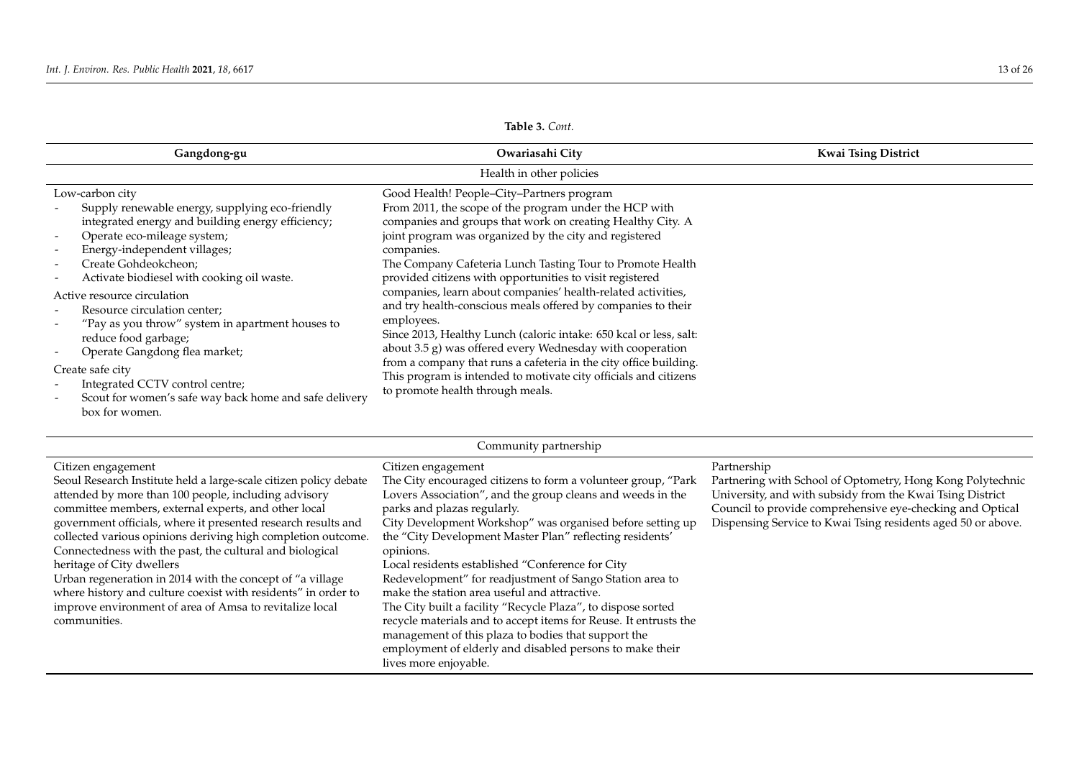| Gangdong-gu                                                                                                                                                                                                                                                                                                                                                                                                                                                                                                                                                                 | Owariasahi City                                                                                                                                                                                                                                                                                                                                                                                                                                                                                                                                                                                                                                                                                                                                                                                                                   | <b>Kwai Tsing District</b> |
|-----------------------------------------------------------------------------------------------------------------------------------------------------------------------------------------------------------------------------------------------------------------------------------------------------------------------------------------------------------------------------------------------------------------------------------------------------------------------------------------------------------------------------------------------------------------------------|-----------------------------------------------------------------------------------------------------------------------------------------------------------------------------------------------------------------------------------------------------------------------------------------------------------------------------------------------------------------------------------------------------------------------------------------------------------------------------------------------------------------------------------------------------------------------------------------------------------------------------------------------------------------------------------------------------------------------------------------------------------------------------------------------------------------------------------|----------------------------|
|                                                                                                                                                                                                                                                                                                                                                                                                                                                                                                                                                                             | Health in other policies                                                                                                                                                                                                                                                                                                                                                                                                                                                                                                                                                                                                                                                                                                                                                                                                          |                            |
| Low-carbon city<br>Supply renewable energy, supplying eco-friendly<br>integrated energy and building energy efficiency;<br>Operate eco-mileage system;<br>Energy-independent villages;<br>Create Gohdeokcheon;<br>Activate biodiesel with cooking oil waste.<br>Active resource circulation<br>Resource circulation center;<br>"Pay as you throw" system in apartment houses to<br>reduce food garbage;<br>Operate Gangdong flea market;<br>Create safe city<br>Integrated CCTV control centre;<br>Scout for women's safe way back home and safe delivery<br>box for women. | Good Health! People-City-Partners program<br>From 2011, the scope of the program under the HCP with<br>companies and groups that work on creating Healthy City. A<br>joint program was organized by the city and registered<br>companies.<br>The Company Cafeteria Lunch Tasting Tour to Promote Health<br>provided citizens with opportunities to visit registered<br>companies, learn about companies' health-related activities,<br>and try health-conscious meals offered by companies to their<br>employees.<br>Since 2013, Healthy Lunch (caloric intake: 650 kcal or less, salt:<br>about 3.5 g) was offered every Wednesday with cooperation<br>from a company that runs a cafeteria in the city office building.<br>This program is intended to motivate city officials and citizens<br>to promote health through meals. |                            |
|                                                                                                                                                                                                                                                                                                                                                                                                                                                                                                                                                                             |                                                                                                                                                                                                                                                                                                                                                                                                                                                                                                                                                                                                                                                                                                                                                                                                                                   |                            |

**Table 3.** *Cont.*

| Community partnership                                             |                                                                  |                                                              |  |
|-------------------------------------------------------------------|------------------------------------------------------------------|--------------------------------------------------------------|--|
| Citizen engagement                                                | Citizen engagement                                               | Partnership                                                  |  |
| Seoul Research Institute held a large-scale citizen policy debate | The City encouraged citizens to form a volunteer group, "Park    | Partnering with School of Optometry, Hong Kong Polytechnic   |  |
| attended by more than 100 people, including advisory              | Lovers Association", and the group cleans and weeds in the       | University, and with subsidy from the Kwai Tsing District    |  |
| committee members, external experts, and other local              | parks and plazas regularly.                                      | Council to provide comprehensive eye-checking and Optical    |  |
| government officials, where it presented research results and     | City Development Workshop" was organised before setting up       | Dispensing Service to Kwai Tsing residents aged 50 or above. |  |
| collected various opinions deriving high completion outcome.      | the "City Development Master Plan" reflecting residents'         |                                                              |  |
| Connectedness with the past, the cultural and biological          | opinions.                                                        |                                                              |  |
| heritage of City dwellers                                         | Local residents established "Conference for City                 |                                                              |  |
| Urban regeneration in 2014 with the concept of "a village"        | Redevelopment" for readjustment of Sango Station area to         |                                                              |  |
| where history and culture coexist with residents" in order to     | make the station area useful and attractive.                     |                                                              |  |
| improve environment of area of Amsa to revitalize local           | The City built a facility "Recycle Plaza", to dispose sorted     |                                                              |  |
| communities.                                                      | recycle materials and to accept items for Reuse. It entrusts the |                                                              |  |
|                                                                   | management of this plaza to bodies that support the              |                                                              |  |
|                                                                   | employment of elderly and disabled persons to make their         |                                                              |  |
|                                                                   | lives more enjoyable.                                            |                                                              |  |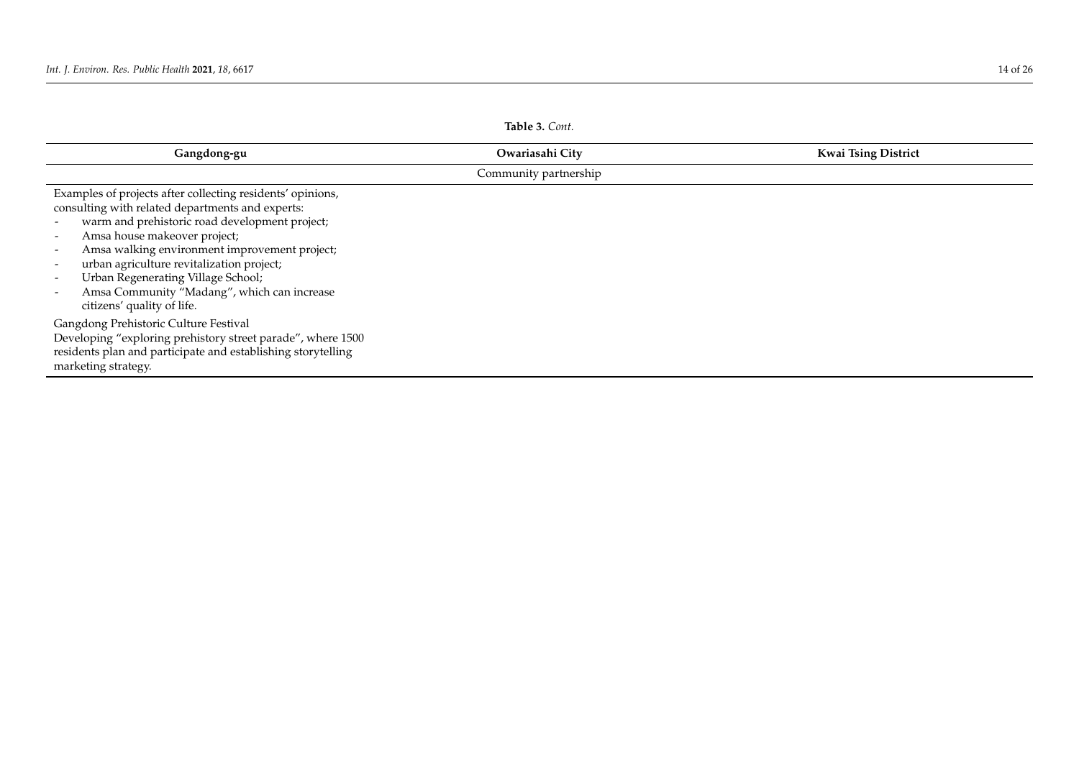<span id="page-13-0"></span>

| Table 3. Cont.                                                                                                                                                                                                                                                                                                                                                                                                    |                       |                            |
|-------------------------------------------------------------------------------------------------------------------------------------------------------------------------------------------------------------------------------------------------------------------------------------------------------------------------------------------------------------------------------------------------------------------|-----------------------|----------------------------|
| Gangdong-gu                                                                                                                                                                                                                                                                                                                                                                                                       | Owariasahi City       | <b>Kwai Tsing District</b> |
|                                                                                                                                                                                                                                                                                                                                                                                                                   | Community partnership |                            |
| Examples of projects after collecting residents' opinions,<br>consulting with related departments and experts:<br>warm and prehistoric road development project;<br>Amsa house makeover project;<br>Amsa walking environment improvement project;<br>urban agriculture revitalization project;<br>Urban Regenerating Village School;<br>Amsa Community "Madang", which can increase<br>citizens' quality of life. |                       |                            |
| Gangdong Prehistoric Culture Festival<br>Developing "exploring prehistory street parade", where 1500<br>residents plan and participate and establishing storytelling<br>marketing strategy.                                                                                                                                                                                                                       |                       |                            |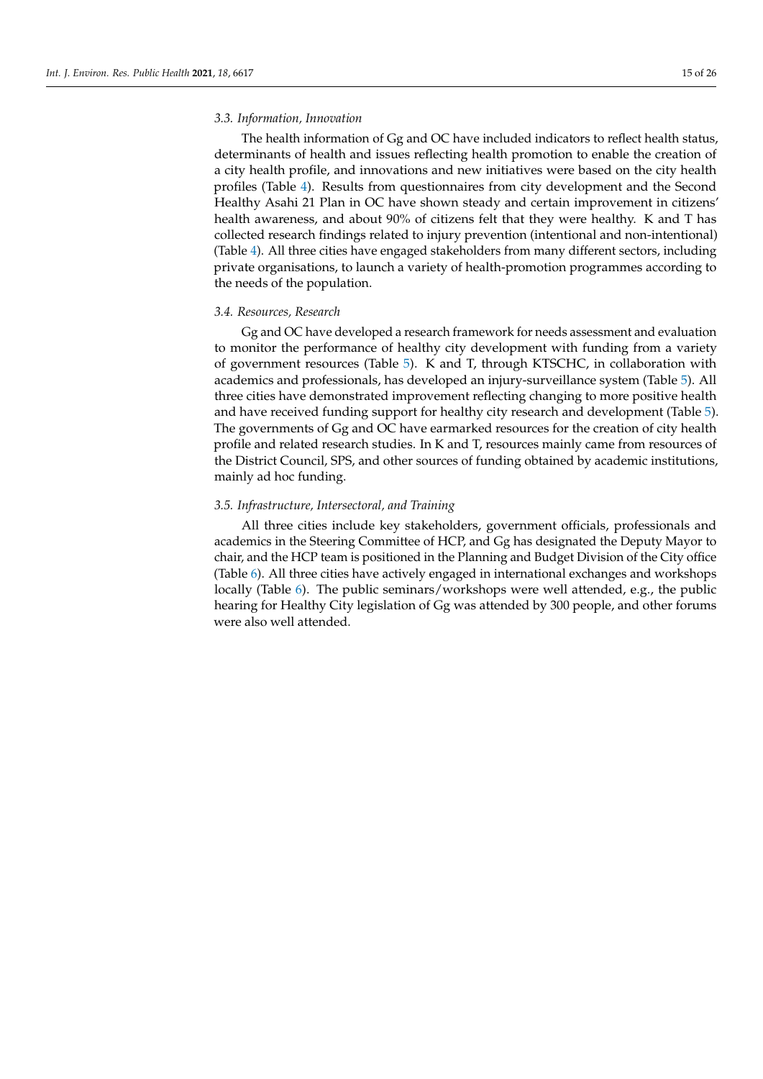# *3.3. Information, Innovation*

The health information of Gg and OC have included indicators to reflect health status, determinants of health and issues reflecting health promotion to enable the creation of a city health profile, and innovations and new initiatives were based on the city health profiles (Table [4\)](#page-17-0). Results from questionnaires from city development and the Second Healthy Asahi 21 Plan in OC have shown steady and certain improvement in citizens' health awareness, and about 90% of citizens felt that they were healthy. K and T has collected research findings related to injury prevention (intentional and non-intentional) (Table [4\)](#page-17-0). All three cities have engaged stakeholders from many different sectors, including private organisations, to launch a variety of health-promotion programmes according to the needs of the population.

#### *3.4. Resources, Research*

Gg and OC have developed a research framework for needs assessment and evaluation to monitor the performance of healthy city development with funding from a variety of government resources (Table [5\)](#page-18-0). K and T, through KTSCHC, in collaboration with academics and professionals, has developed an injury-surveillance system (Table [5\)](#page-18-0). All three cities have demonstrated improvement reflecting changing to more positive health and have received funding support for healthy city research and development (Table [5\)](#page-18-0). The governments of Gg and OC have earmarked resources for the creation of city health profile and related research studies. In K and T, resources mainly came from resources of the District Council, SPS, and other sources of funding obtained by academic institutions, mainly ad hoc funding.

## *3.5. Infrastructure, Intersectoral, and Training*

All three cities include key stakeholders, government officials, professionals and academics in the Steering Committee of HCP, and Gg has designated the Deputy Mayor to chair, and the HCP team is positioned in the Planning and Budget Division of the City office (Table [6\)](#page-19-0). All three cities have actively engaged in international exchanges and workshops locally (Table [6\)](#page-19-0). The public seminars/workshops were well attended, e.g., the public hearing for Healthy City legislation of Gg was attended by 300 people, and other forums were also well attended.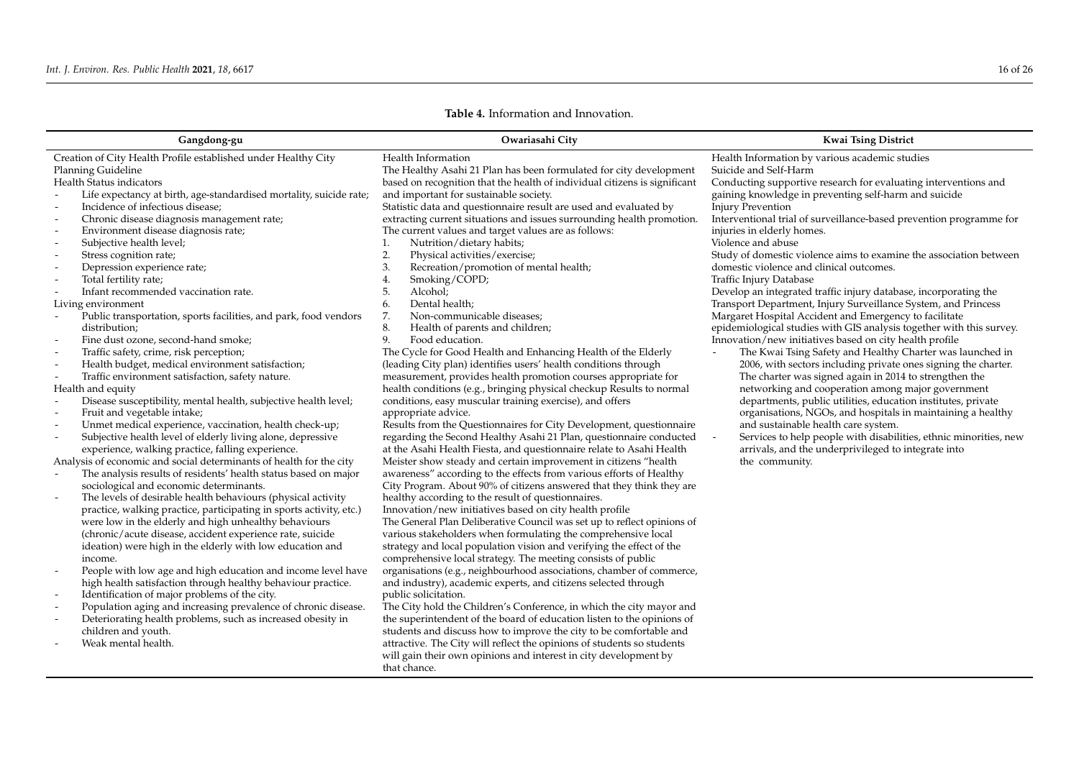| Gangdong-gu                                                                                                                                                                                                                                                                                                                                                                                                                                                                                                                                                                                                                                                                                                                                                                                                                                                                                                                                                                                                                                                                                                                                                                                                                                                                                                                                                                                                                                                                                                                                                                                                                                                                                                                                                                                                                                                                                                                                                                 | Owariasahi City                                                                                                                                                                                                                                                                                                                                                                                                                                                                                                                                                                                                                                                                                                                                                                                                                                                                                                                                                                                                                                                                                                                                                                                                                                                                                                                                                                                                                                                                                                                                                                                                                                                                                                                                                                                                                                                                                                                                                                                                                                                                                                                                                                                                                                                                                                                                                                                                                                                                                  | <b>Kwai Tsing District</b>                                                                                                                                                                                                                                                                                                                                                                                                                                                                                                                                                                                                                                                                                                                                                                                                                                                                                                                                                                                                                                                                                                                                                                                                                                                                                                                                                                                   |
|-----------------------------------------------------------------------------------------------------------------------------------------------------------------------------------------------------------------------------------------------------------------------------------------------------------------------------------------------------------------------------------------------------------------------------------------------------------------------------------------------------------------------------------------------------------------------------------------------------------------------------------------------------------------------------------------------------------------------------------------------------------------------------------------------------------------------------------------------------------------------------------------------------------------------------------------------------------------------------------------------------------------------------------------------------------------------------------------------------------------------------------------------------------------------------------------------------------------------------------------------------------------------------------------------------------------------------------------------------------------------------------------------------------------------------------------------------------------------------------------------------------------------------------------------------------------------------------------------------------------------------------------------------------------------------------------------------------------------------------------------------------------------------------------------------------------------------------------------------------------------------------------------------------------------------------------------------------------------------|--------------------------------------------------------------------------------------------------------------------------------------------------------------------------------------------------------------------------------------------------------------------------------------------------------------------------------------------------------------------------------------------------------------------------------------------------------------------------------------------------------------------------------------------------------------------------------------------------------------------------------------------------------------------------------------------------------------------------------------------------------------------------------------------------------------------------------------------------------------------------------------------------------------------------------------------------------------------------------------------------------------------------------------------------------------------------------------------------------------------------------------------------------------------------------------------------------------------------------------------------------------------------------------------------------------------------------------------------------------------------------------------------------------------------------------------------------------------------------------------------------------------------------------------------------------------------------------------------------------------------------------------------------------------------------------------------------------------------------------------------------------------------------------------------------------------------------------------------------------------------------------------------------------------------------------------------------------------------------------------------------------------------------------------------------------------------------------------------------------------------------------------------------------------------------------------------------------------------------------------------------------------------------------------------------------------------------------------------------------------------------------------------------------------------------------------------------------------------------------------------|--------------------------------------------------------------------------------------------------------------------------------------------------------------------------------------------------------------------------------------------------------------------------------------------------------------------------------------------------------------------------------------------------------------------------------------------------------------------------------------------------------------------------------------------------------------------------------------------------------------------------------------------------------------------------------------------------------------------------------------------------------------------------------------------------------------------------------------------------------------------------------------------------------------------------------------------------------------------------------------------------------------------------------------------------------------------------------------------------------------------------------------------------------------------------------------------------------------------------------------------------------------------------------------------------------------------------------------------------------------------------------------------------------------|
| Creation of City Health Profile established under Healthy City<br>Planning Guideline<br>Health Status indicators<br>Life expectancy at birth, age-standardised mortality, suicide rate;<br>Incidence of infectious disease;<br>Chronic disease diagnosis management rate;<br>Environment disease diagnosis rate;<br>Subjective health level;<br>Stress cognition rate;<br>Depression experience rate;<br>Total fertility rate;<br>Infant recommended vaccination rate.<br>Living environment<br>Public transportation, sports facilities, and park, food vendors<br>distribution;<br>Fine dust ozone, second-hand smoke;<br>Traffic safety, crime, risk perception;<br>Health budget, medical environment satisfaction;<br>Traffic environment satisfaction, safety nature.<br>Health and equity<br>Disease susceptibility, mental health, subjective health level;<br>Fruit and vegetable intake;<br>Unmet medical experience, vaccination, health check-up;<br>Subjective health level of elderly living alone, depressive<br>experience, walking practice, falling experience.<br>Analysis of economic and social determinants of health for the city<br>The analysis results of residents' health status based on major<br>sociological and economic determinants.<br>The levels of desirable health behaviours (physical activity<br>practice, walking practice, participating in sports activity, etc.)<br>were low in the elderly and high unhealthy behaviours<br>(chronic/acute disease, accident experience rate, suicide<br>ideation) were high in the elderly with low education and<br>income.<br>People with low age and high education and income level have<br>high health satisfaction through healthy behaviour practice.<br>Identification of major problems of the city.<br>Population aging and increasing prevalence of chronic disease.<br>Deteriorating health problems, such as increased obesity in<br>children and youth.<br>Weak mental health. | Health Information<br>The Healthy Asahi 21 Plan has been formulated for city development<br>based on recognition that the health of individual citizens is significant<br>and important for sustainable society.<br>Statistic data and questionnaire result are used and evaluated by<br>extracting current situations and issues surrounding health promotion.<br>The current values and target values are as follows:<br>Nutrition/dietary habits;<br>1.<br>2.<br>Physical activities/exercise;<br>Recreation/promotion of mental health;<br>3.<br>Smoking/COPD;<br>4.<br>Alcohol;<br>5.<br>Dental health;<br>6.<br>7.<br>Non-communicable diseases;<br>8.<br>Health of parents and children;<br>9.<br>Food education.<br>The Cycle for Good Health and Enhancing Health of the Elderly<br>(leading City plan) identifies users' health conditions through<br>measurement, provides health promotion courses appropriate for<br>health conditions (e.g., bringing physical checkup Results to normal<br>conditions, easy muscular training exercise), and offers<br>appropriate advice.<br>Results from the Questionnaires for City Development, questionnaire<br>regarding the Second Healthy Asahi 21 Plan, questionnaire conducted<br>at the Asahi Health Fiesta, and questionnaire relate to Asahi Health<br>Meister show steady and certain improvement in citizens "health<br>awareness" according to the effects from various efforts of Healthy<br>City Program. About 90% of citizens answered that they think they are<br>healthy according to the result of questionnaires.<br>Innovation/new initiatives based on city health profile<br>The General Plan Deliberative Council was set up to reflect opinions of<br>various stakeholders when formulating the comprehensive local<br>strategy and local population vision and verifying the effect of the<br>comprehensive local strategy. The meeting consists of public<br>organisations (e.g., neighbourhood associations, chamber of commerce,<br>and industry), academic experts, and citizens selected through<br>public solicitation.<br>The City hold the Children's Conference, in which the city mayor and<br>the superintendent of the board of education listen to the opinions of<br>students and discuss how to improve the city to be comfortable and<br>attractive. The City will reflect the opinions of students so students<br>will gain their own opinions and interest in city development by<br>that chance. | Health Information by various academic studies<br>Suicide and Self-Harm<br>Conducting supportive research for evaluating interventions and<br>gaining knowledge in preventing self-harm and suicide<br><b>Injury Prevention</b><br>Interventional trial of surveillance-based prevention programme for<br>injuries in elderly homes.<br>Violence and abuse<br>Study of domestic violence aims to examine the association between<br>domestic violence and clinical outcomes.<br>Traffic Injury Database<br>Develop an integrated traffic injury database, incorporating the<br>Transport Department, Injury Surveillance System, and Princess<br>Margaret Hospital Accident and Emergency to facilitate<br>epidemiological studies with GIS analysis together with this survey.<br>Innovation/new initiatives based on city health profile<br>The Kwai Tsing Safety and Healthy Charter was launched in<br>2006, with sectors including private ones signing the charter.<br>The charter was signed again in 2014 to strengthen the<br>networking and cooperation among major government<br>departments, public utilities, education institutes, private<br>organisations, NGOs, and hospitals in maintaining a healthy<br>and sustainable health care system.<br>Services to help people with disabilities, ethnic minorities, new<br>arrivals, and the underprivileged to integrate into<br>the community. |

# **Table 4.** Information and Innovation.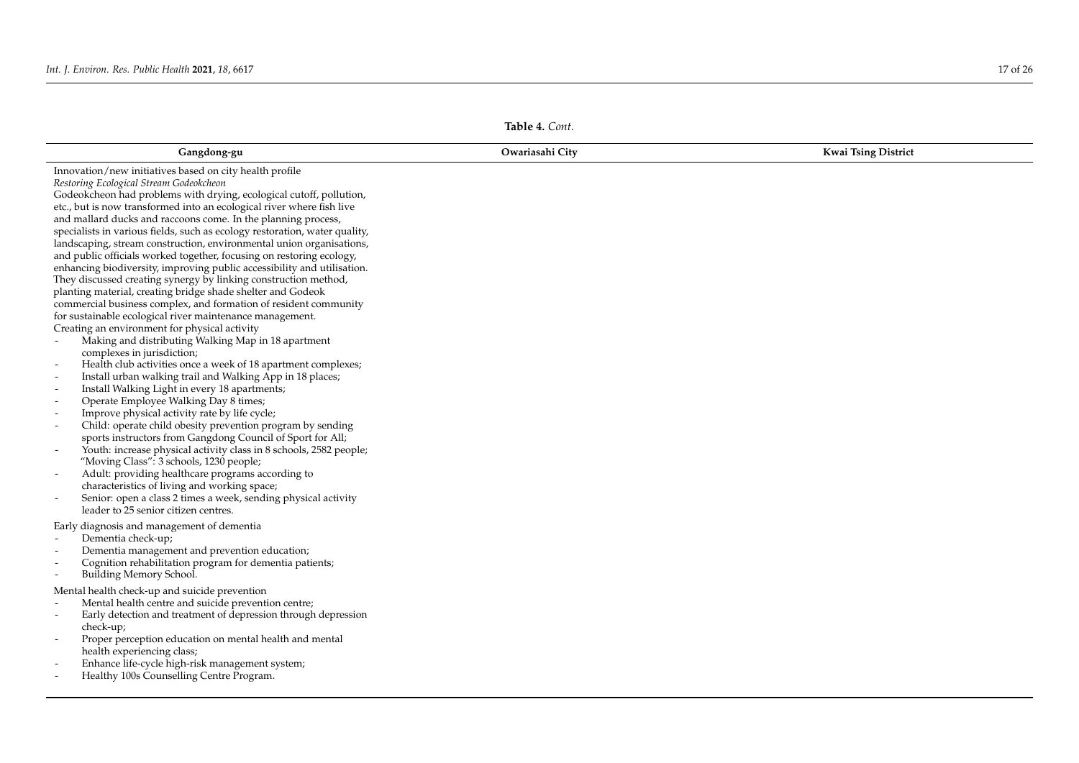|                                                                                                                                                                                                                                                                                                                                                                                                                                                                                                                                                                                                                                                                                                                                                                                                                                                                                                                                                                                                                                                                                                                                                                                                                                                                                                                                                                                                                                                                                                                                                                                                                                                                                                                                                                                                       | Table 4. Cont.  |                            |
|-------------------------------------------------------------------------------------------------------------------------------------------------------------------------------------------------------------------------------------------------------------------------------------------------------------------------------------------------------------------------------------------------------------------------------------------------------------------------------------------------------------------------------------------------------------------------------------------------------------------------------------------------------------------------------------------------------------------------------------------------------------------------------------------------------------------------------------------------------------------------------------------------------------------------------------------------------------------------------------------------------------------------------------------------------------------------------------------------------------------------------------------------------------------------------------------------------------------------------------------------------------------------------------------------------------------------------------------------------------------------------------------------------------------------------------------------------------------------------------------------------------------------------------------------------------------------------------------------------------------------------------------------------------------------------------------------------------------------------------------------------------------------------------------------------|-----------------|----------------------------|
| Gangdong-gu                                                                                                                                                                                                                                                                                                                                                                                                                                                                                                                                                                                                                                                                                                                                                                                                                                                                                                                                                                                                                                                                                                                                                                                                                                                                                                                                                                                                                                                                                                                                                                                                                                                                                                                                                                                           | Owariasahi City | <b>Kwai Tsing District</b> |
| Innovation/new initiatives based on city health profile<br>Restoring Ecological Stream Godeokcheon<br>Godeokcheon had problems with drying, ecological cutoff, pollution,<br>etc., but is now transformed into an ecological river where fish live<br>and mallard ducks and raccoons come. In the planning process,<br>specialists in various fields, such as ecology restoration, water quality,<br>landscaping, stream construction, environmental union organisations,<br>and public officials worked together, focusing on restoring ecology,<br>enhancing biodiversity, improving public accessibility and utilisation.<br>They discussed creating synergy by linking construction method,<br>planting material, creating bridge shade shelter and Godeok<br>commercial business complex, and formation of resident community<br>for sustainable ecological river maintenance management.<br>Creating an environment for physical activity<br>Making and distributing Walking Map in 18 apartment<br>complexes in jurisdiction;<br>Health club activities once a week of 18 apartment complexes;<br>Install urban walking trail and Walking App in 18 places;<br>$\overline{\phantom{a}}$<br>Install Walking Light in every 18 apartments;<br>Operate Employee Walking Day 8 times;<br>Improve physical activity rate by life cycle;<br>Child: operate child obesity prevention program by sending<br>sports instructors from Gangdong Council of Sport for All;<br>Youth: increase physical activity class in 8 schools, 2582 people;<br>"Moving Class": 3 schools, 1230 people;<br>Adult: providing healthcare programs according to<br>characteristics of living and working space;<br>Senior: open a class 2 times a week, sending physical activity<br>leader to 25 senior citizen centres. |                 |                            |
| Early diagnosis and management of dementia<br>Dementia check-up;<br>Dementia management and prevention education;<br>Cognition rehabilitation program for dementia patients;<br>Building Memory School.<br>Mental health check-up and suicide prevention<br>Mental health centre and suicide prevention centre;<br>Early detection and treatment of depression through depression<br>check-up;<br>Proper perception education on mental health and mental<br>health experiencing class;<br>Enhance life-cycle high-risk management system;<br>Healthy 100s Counselling Centre Program.                                                                                                                                                                                                                                                                                                                                                                                                                                                                                                                                                                                                                                                                                                                                                                                                                                                                                                                                                                                                                                                                                                                                                                                                                |                 |                            |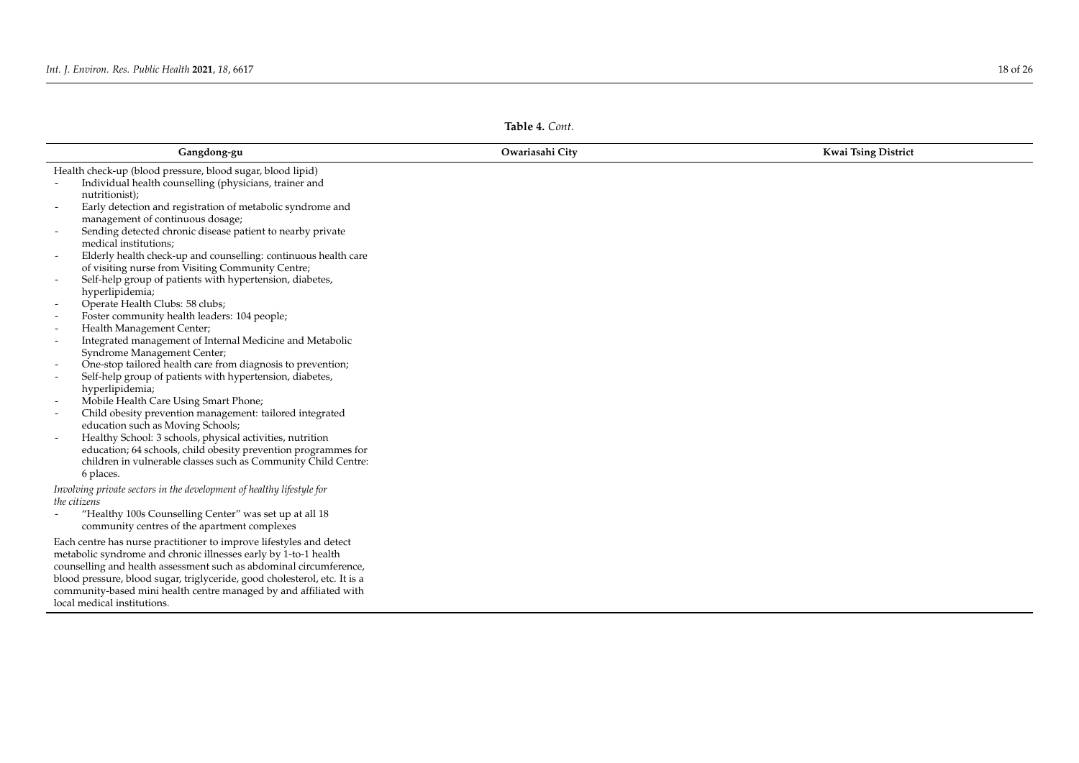<span id="page-17-0"></span>

| Gangdong-gu                                                                          | Owariasahi City | <b>Kwai Tsing District</b> |
|--------------------------------------------------------------------------------------|-----------------|----------------------------|
| Health check-up (blood pressure, blood sugar, blood lipid)                           |                 |                            |
| Individual health counselling (physicians, trainer and                               |                 |                            |
| nutritionist);                                                                       |                 |                            |
| Early detection and registration of metabolic syndrome and                           |                 |                            |
| management of continuous dosage;                                                     |                 |                            |
| Sending detected chronic disease patient to nearby private                           |                 |                            |
| medical institutions;                                                                |                 |                            |
| Elderly health check-up and counselling: continuous health care                      |                 |                            |
| of visiting nurse from Visiting Community Centre;                                    |                 |                            |
| Self-help group of patients with hypertension, diabetes,                             |                 |                            |
| hyperlipidemia;                                                                      |                 |                            |
| Operate Health Clubs: 58 clubs;                                                      |                 |                            |
| Foster community health leaders: 104 people;                                         |                 |                            |
| Health Management Center;                                                            |                 |                            |
| Integrated management of Internal Medicine and Metabolic<br>$\overline{\phantom{a}}$ |                 |                            |
| Syndrome Management Center;                                                          |                 |                            |
| One-stop tailored health care from diagnosis to prevention;                          |                 |                            |
| Self-help group of patients with hypertension, diabetes,<br>$\overline{\phantom{a}}$ |                 |                            |
| hyperlipidemia;                                                                      |                 |                            |
| Mobile Health Care Using Smart Phone;                                                |                 |                            |
| Child obesity prevention management: tailored integrated                             |                 |                            |
| education such as Moving Schools;                                                    |                 |                            |
| Healthy School: 3 schools, physical activities, nutrition                            |                 |                            |
| education; 64 schools, child obesity prevention programmes for                       |                 |                            |
| children in vulnerable classes such as Community Child Centre:                       |                 |                            |
| 6 places.                                                                            |                 |                            |
| Involving private sectors in the development of healthy lifestyle for                |                 |                            |
| the citizens                                                                         |                 |                            |
| "Healthy 100s Counselling Center" was set up at all 18                               |                 |                            |
| community centres of the apartment complexes                                         |                 |                            |
| Each centre has nurse practitioner to improve lifestyles and detect                  |                 |                            |
| metabolic syndrome and chronic illnesses early by 1-to-1 health                      |                 |                            |
| counselling and health assessment such as abdominal circumference,                   |                 |                            |
| blood pressure, blood sugar, triglyceride, good cholesterol, etc. It is a            |                 |                            |
| community-based mini health centre managed by and affiliated with                    |                 |                            |
| local medical institutions.                                                          |                 |                            |

**Table 4.** *Cont.*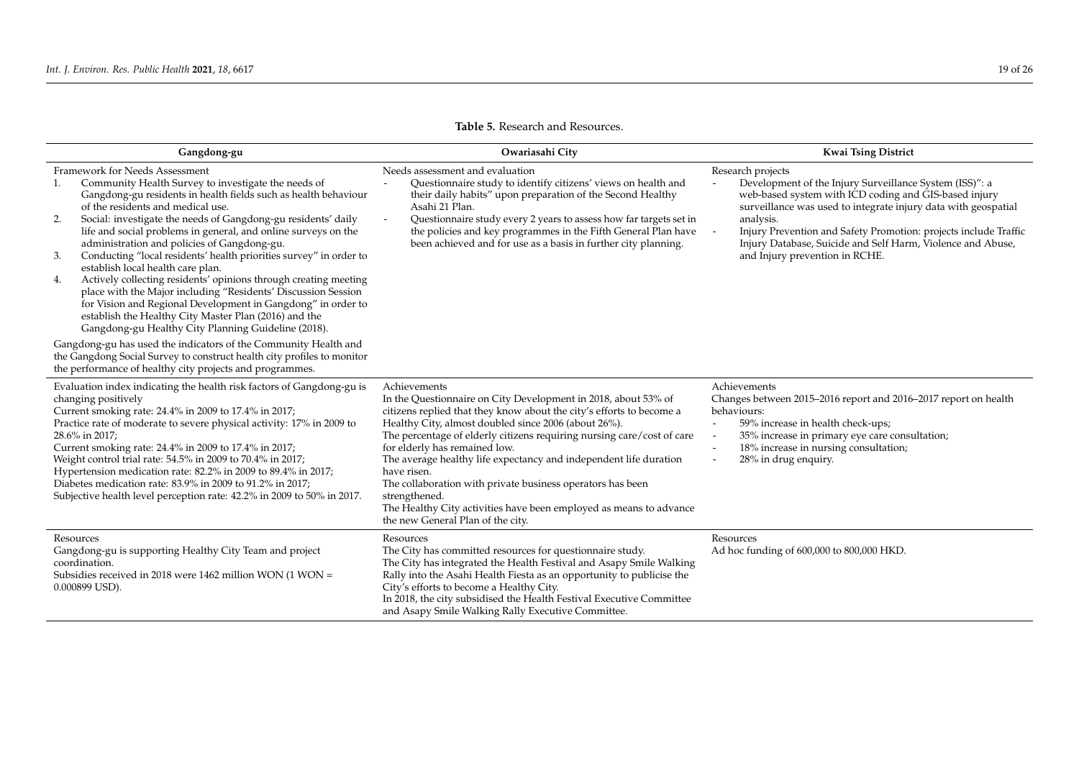<span id="page-18-0"></span>

| Gangdong-gu                                                                                                                                                                                                                                                                                                                                                                                                                                                                                                                                                                                                                                                                                                                                                                                                                                                                                                                                                                                                                                 | Owariasahi City                                                                                                                                                                                                                                                                                                                                                                                                                                                                                                                                                                                         | <b>Kwai Tsing District</b>                                                                                                                                                                                                                                                                                                                                                                |
|---------------------------------------------------------------------------------------------------------------------------------------------------------------------------------------------------------------------------------------------------------------------------------------------------------------------------------------------------------------------------------------------------------------------------------------------------------------------------------------------------------------------------------------------------------------------------------------------------------------------------------------------------------------------------------------------------------------------------------------------------------------------------------------------------------------------------------------------------------------------------------------------------------------------------------------------------------------------------------------------------------------------------------------------|---------------------------------------------------------------------------------------------------------------------------------------------------------------------------------------------------------------------------------------------------------------------------------------------------------------------------------------------------------------------------------------------------------------------------------------------------------------------------------------------------------------------------------------------------------------------------------------------------------|-------------------------------------------------------------------------------------------------------------------------------------------------------------------------------------------------------------------------------------------------------------------------------------------------------------------------------------------------------------------------------------------|
| Framework for Needs Assessment<br>Community Health Survey to investigate the needs of<br>Gangdong-gu residents in health fields such as health behaviour<br>of the residents and medical use.<br>Social: investigate the needs of Gangdong-gu residents' daily<br>2.<br>life and social problems in general, and online surveys on the<br>administration and policies of Gangdong-gu.<br>Conducting "local residents' health priorities survey" in order to<br>3.<br>establish local health care plan.<br>Actively collecting residents' opinions through creating meeting<br>4.<br>place with the Major including "Residents' Discussion Session<br>for Vision and Regional Development in Gangdong" in order to<br>establish the Healthy City Master Plan (2016) and the<br>Gangdong-gu Healthy City Planning Guideline (2018).<br>Gangdong-gu has used the indicators of the Community Health and<br>the Gangdong Social Survey to construct health city profiles to monitor<br>the performance of healthy city projects and programmes. | Needs assessment and evaluation<br>Questionnaire study to identify citizens' views on health and<br>their daily habits" upon preparation of the Second Healthy<br>Asahi 21 Plan.<br>Questionnaire study every 2 years to assess how far targets set in<br>the policies and key programmes in the Fifth General Plan have<br>been achieved and for use as a basis in further city planning.                                                                                                                                                                                                              | Research projects<br>Development of the Injury Surveillance System (ISS)": a<br>web-based system with ICD coding and GIS-based injury<br>surveillance was used to integrate injury data with geospatial<br>analysis.<br>Injury Prevention and Safety Promotion: projects include Traffic<br>Injury Database, Suicide and Self Harm, Violence and Abuse,<br>and Injury prevention in RCHE. |
| Evaluation index indicating the health risk factors of Gangdong-gu is<br>changing positively<br>Current smoking rate: 24.4% in 2009 to 17.4% in 2017;<br>Practice rate of moderate to severe physical activity: 17% in 2009 to<br>28.6% in 2017;<br>Current smoking rate: 24.4% in 2009 to 17.4% in 2017;<br>Weight control trial rate: 54.5% in 2009 to 70.4% in 2017;<br>Hypertension medication rate: 82.2% in 2009 to 89.4% in 2017;<br>Diabetes medication rate: 83.9% in 2009 to 91.2% in 2017;<br>Subjective health level perception rate: 42.2% in 2009 to 50% in 2017.                                                                                                                                                                                                                                                                                                                                                                                                                                                             | Achievements<br>In the Questionnaire on City Development in 2018, about 53% of<br>citizens replied that they know about the city's efforts to become a<br>Healthy City, almost doubled since 2006 (about 26%).<br>The percentage of elderly citizens requiring nursing care/cost of care<br>for elderly has remained low.<br>The average healthy life expectancy and independent life duration<br>have risen.<br>The collaboration with private business operators has been<br>strengthened.<br>The Healthy City activities have been employed as means to advance<br>the new General Plan of the city. | Achievements<br>Changes between 2015–2016 report and 2016–2017 report on health<br>behaviours:<br>59% increase in health check-ups;<br>35% increase in primary eye care consultation;<br>18% increase in nursing consultation;<br>28% in drug enquiry.                                                                                                                                    |
| Resources<br>Gangdong-gu is supporting Healthy City Team and project<br>coordination.<br>Subsidies received in 2018 were 1462 million WON (1 WON =<br>0.000899 USD).                                                                                                                                                                                                                                                                                                                                                                                                                                                                                                                                                                                                                                                                                                                                                                                                                                                                        | Resources<br>The City has committed resources for questionnaire study.<br>The City has integrated the Health Festival and Asapy Smile Walking<br>Rally into the Asahi Health Fiesta as an opportunity to publicise the<br>City's efforts to become a Healthy City.<br>In 2018, the city subsidised the Health Festival Executive Committee<br>and Asapy Smile Walking Rally Executive Committee.                                                                                                                                                                                                        | Resources<br>Ad hoc funding of 600,000 to 800,000 HKD.                                                                                                                                                                                                                                                                                                                                    |

# **Table 5.** Research and Resources.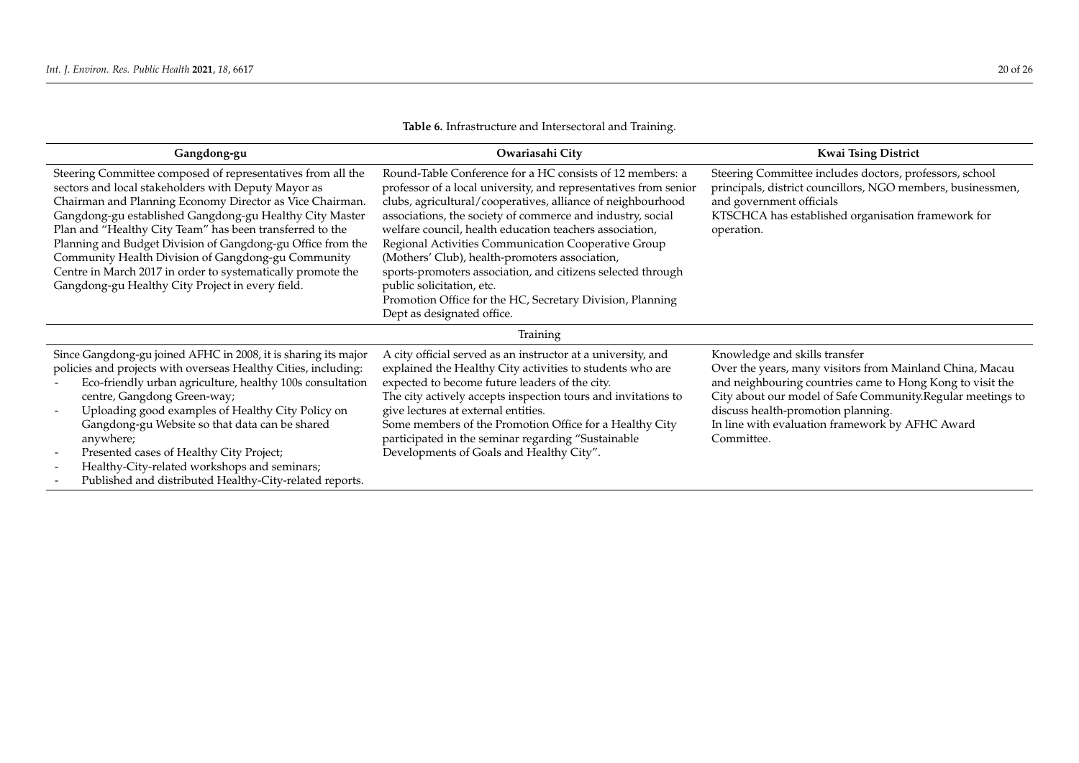<span id="page-19-0"></span>

| Gangdong-gu                                                                                                                                                                                                                                                                                                                                                                                                                                                                                                                                   | Owariasahi City                                                                                                                                                                                                                                                                                                                                                                                                                                                                                                                                                                                                       | <b>Kwai Tsing District</b>                                                                                                                                                                                                                                                                                                  |
|-----------------------------------------------------------------------------------------------------------------------------------------------------------------------------------------------------------------------------------------------------------------------------------------------------------------------------------------------------------------------------------------------------------------------------------------------------------------------------------------------------------------------------------------------|-----------------------------------------------------------------------------------------------------------------------------------------------------------------------------------------------------------------------------------------------------------------------------------------------------------------------------------------------------------------------------------------------------------------------------------------------------------------------------------------------------------------------------------------------------------------------------------------------------------------------|-----------------------------------------------------------------------------------------------------------------------------------------------------------------------------------------------------------------------------------------------------------------------------------------------------------------------------|
| Steering Committee composed of representatives from all the<br>sectors and local stakeholders with Deputy Mayor as<br>Chairman and Planning Economy Director as Vice Chairman.<br>Gangdong-gu established Gangdong-gu Healthy City Master<br>Plan and "Healthy City Team" has been transferred to the<br>Planning and Budget Division of Gangdong-gu Office from the<br>Community Health Division of Gangdong-gu Community<br>Centre in March 2017 in order to systematically promote the<br>Gangdong-gu Healthy City Project in every field. | Round-Table Conference for a HC consists of 12 members: a<br>professor of a local university, and representatives from senior<br>clubs, agricultural/cooperatives, alliance of neighbourhood<br>associations, the society of commerce and industry, social<br>welfare council, health education teachers association,<br>Regional Activities Communication Cooperative Group<br>(Mothers' Club), health-promoters association,<br>sports-promoters association, and citizens selected through<br>public solicitation, etc.<br>Promotion Office for the HC, Secretary Division, Planning<br>Dept as designated office. | Steering Committee includes doctors, professors, school<br>principals, district councillors, NGO members, businessmen,<br>and government officials<br>KTSCHCA has established organisation framework for<br>operation.                                                                                                      |
|                                                                                                                                                                                                                                                                                                                                                                                                                                                                                                                                               | Training                                                                                                                                                                                                                                                                                                                                                                                                                                                                                                                                                                                                              |                                                                                                                                                                                                                                                                                                                             |
| Since Gangdong-gu joined AFHC in 2008, it is sharing its major<br>policies and projects with overseas Healthy Cities, including:<br>Eco-friendly urban agriculture, healthy 100s consultation<br>centre, Gangdong Green-way;<br>Uploading good examples of Healthy City Policy on<br>Gangdong-gu Website so that data can be shared<br>anywhere;<br>Presented cases of Healthy City Project;<br>Healthy-City-related workshops and seminars;<br>Published and distributed Healthy-City-related reports.                                       | A city official served as an instructor at a university, and<br>explained the Healthy City activities to students who are<br>expected to become future leaders of the city.<br>The city actively accepts inspection tours and invitations to<br>give lectures at external entities.<br>Some members of the Promotion Office for a Healthy City<br>participated in the seminar regarding "Sustainable<br>Developments of Goals and Healthy City".                                                                                                                                                                      | Knowledge and skills transfer<br>Over the years, many visitors from Mainland China, Macau<br>and neighbouring countries came to Hong Kong to visit the<br>City about our model of Safe Community.Regular meetings to<br>discuss health-promotion planning.<br>In line with evaluation framework by AFHC Award<br>Committee. |

**Table 6.** Infrastructure and Intersectoral and Training.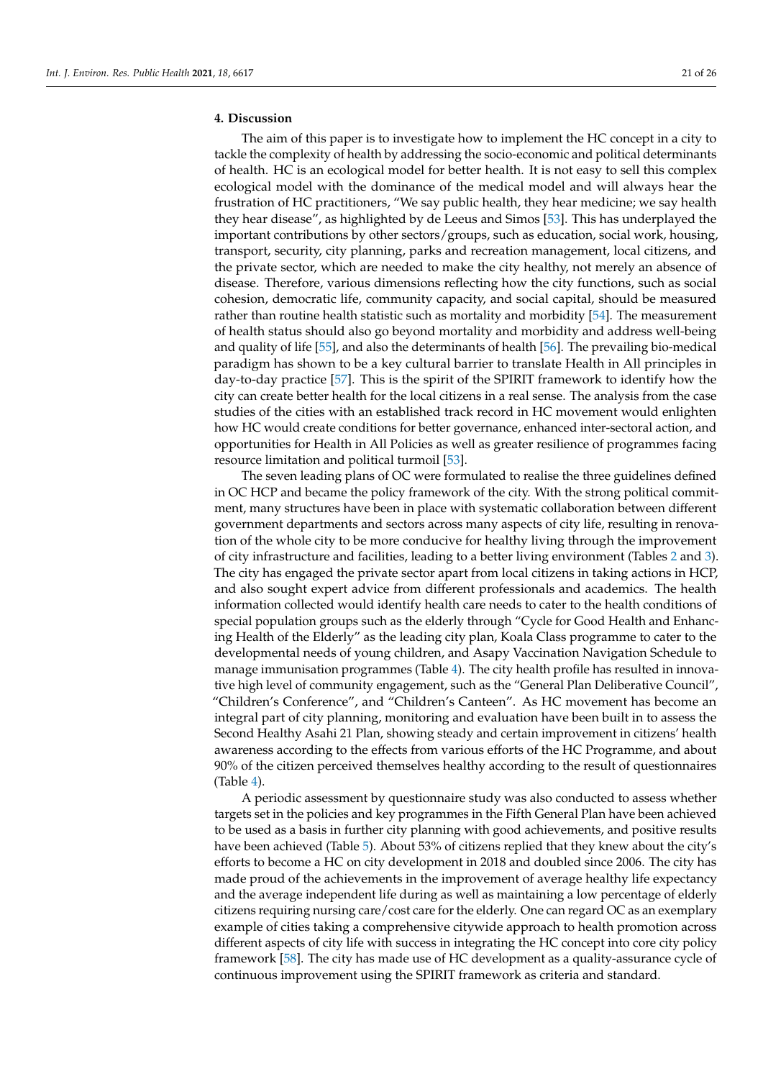# **4. Discussion**

The aim of this paper is to investigate how to implement the HC concept in a city to tackle the complexity of health by addressing the socio-economic and political determinants of health. HC is an ecological model for better health. It is not easy to sell this complex ecological model with the dominance of the medical model and will always hear the frustration of HC practitioners, "We say public health, they hear medicine; we say health they hear disease", as highlighted by de Leeus and Simos [\[53\]](#page-24-22). This has underplayed the important contributions by other sectors/groups, such as education, social work, housing, transport, security, city planning, parks and recreation management, local citizens, and the private sector, which are needed to make the city healthy, not merely an absence of disease. Therefore, various dimensions reflecting how the city functions, such as social cohesion, democratic life, community capacity, and social capital, should be measured rather than routine health statistic such as mortality and morbidity [\[54\]](#page-24-23). The measurement of health status should also go beyond mortality and morbidity and address well-being and quality of life [\[55\]](#page-24-24), and also the determinants of health [\[56\]](#page-25-0). The prevailing bio-medical paradigm has shown to be a key cultural barrier to translate Health in All principles in day-to-day practice [\[57\]](#page-25-1). This is the spirit of the SPIRIT framework to identify how the city can create better health for the local citizens in a real sense. The analysis from the case studies of the cities with an established track record in HC movement would enlighten how HC would create conditions for better governance, enhanced inter-sectoral action, and opportunities for Health in All Policies as well as greater resilience of programmes facing resource limitation and political turmoil [\[53\]](#page-24-22).

The seven leading plans of OC were formulated to realise the three guidelines defined in OC HCP and became the policy framework of the city. With the strong political commitment, many structures have been in place with systematic collaboration between different government departments and sectors across many aspects of city life, resulting in renovation of the whole city to be more conducive for healthy living through the improvement of city infrastructure and facilities, leading to a better living environment (Tables [2](#page-9-0) and [3\)](#page-13-0). The city has engaged the private sector apart from local citizens in taking actions in HCP, and also sought expert advice from different professionals and academics. The health information collected would identify health care needs to cater to the health conditions of special population groups such as the elderly through "Cycle for Good Health and Enhancing Health of the Elderly" as the leading city plan, Koala Class programme to cater to the developmental needs of young children, and Asapy Vaccination Navigation Schedule to manage immunisation programmes (Table [4\)](#page-17-0). The city health profile has resulted in innovative high level of community engagement, such as the "General Plan Deliberative Council", "Children's Conference", and "Children's Canteen". As HC movement has become an integral part of city planning, monitoring and evaluation have been built in to assess the Second Healthy Asahi 21 Plan, showing steady and certain improvement in citizens' health awareness according to the effects from various efforts of the HC Programme, and about 90% of the citizen perceived themselves healthy according to the result of questionnaires (Table [4\)](#page-17-0).

A periodic assessment by questionnaire study was also conducted to assess whether targets set in the policies and key programmes in the Fifth General Plan have been achieved to be used as a basis in further city planning with good achievements, and positive results have been achieved (Table [5\)](#page-18-0). About 53% of citizens replied that they knew about the city's efforts to become a HC on city development in 2018 and doubled since 2006. The city has made proud of the achievements in the improvement of average healthy life expectancy and the average independent life during as well as maintaining a low percentage of elderly citizens requiring nursing care/cost care for the elderly. One can regard OC as an exemplary example of cities taking a comprehensive citywide approach to health promotion across different aspects of city life with success in integrating the HC concept into core city policy framework [\[58\]](#page-25-2). The city has made use of HC development as a quality-assurance cycle of continuous improvement using the SPIRIT framework as criteria and standard.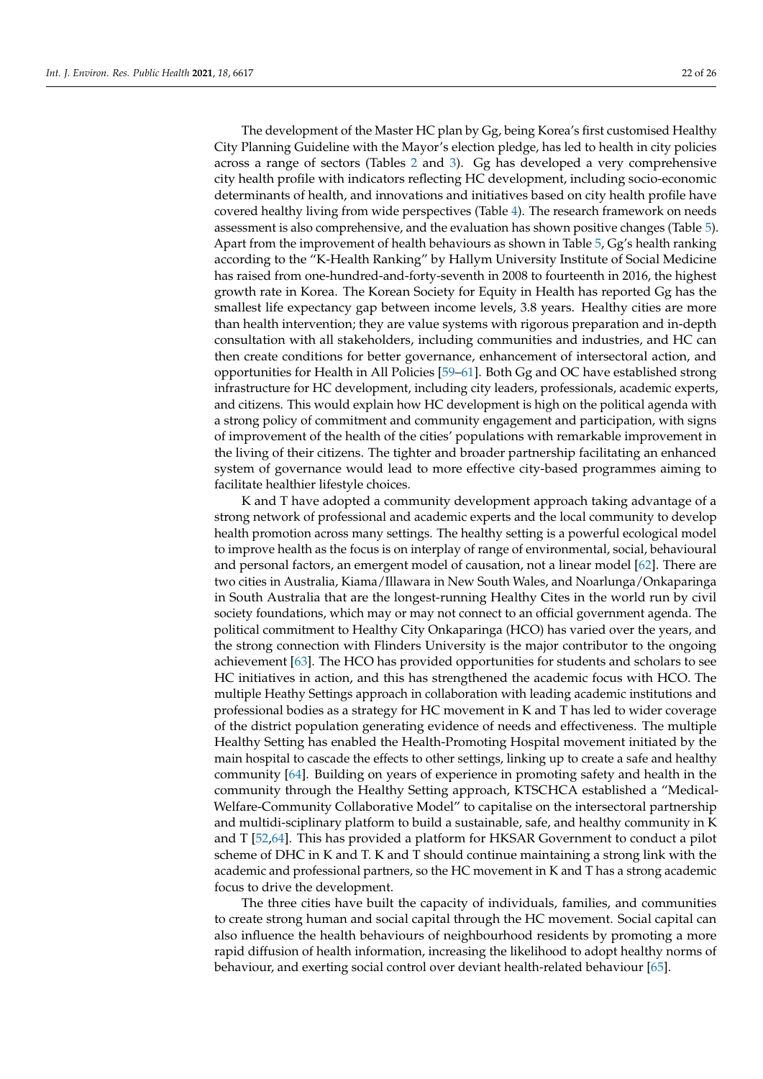The development of the Master HC plan by Gg, being Korea's first customised Healthy City Planning Guideline with the Mayor's election pledge, has led to health in city policies across a range of sectors (Tables [2](#page-9-0) and [3\)](#page-13-0). Gg has developed a very comprehensive city health profile with indicators reflecting HC development, including socio-economic determinants of health, and innovations and initiatives based on city health profile have covered healthy living from wide perspectives (Table [4\)](#page-17-0). The research framework on needs assessment is also comprehensive, and the evaluation has shown positive changes (Table [5\)](#page-18-0). Apart from the improvement of health behaviours as shown in Table [5,](#page-18-0) Gg's health ranking according to the "K-Health Ranking" by Hallym University Institute of Social Medicine has raised from one-hundred-and-forty-seventh in 2008 to fourteenth in 2016, the highest growth rate in Korea. The Korean Society for Equity in Health has reported Gg has the smallest life expectancy gap between income levels, 3.8 years. Healthy cities are more than health intervention; they are value systems with rigorous preparation and in-depth consultation with all stakeholders, including communities and industries, and HC can then create conditions for better governance, enhancement of intersectoral action, and opportunities for Health in All Policies [\[59](#page-25-3)[–61\]](#page-25-4). Both Gg and OC have established strong infrastructure for HC development, including city leaders, professionals, academic experts, and citizens. This would explain how HC development is high on the political agenda with a strong policy of commitment and community engagement and participation, with signs of improvement of the health of the cities' populations with remarkable improvement in the living of their citizens. The tighter and broader partnership facilitating an enhanced system of governance would lead to more effective city-based programmes aiming to facilitate healthier lifestyle choices.

K and T have adopted a community development approach taking advantage of a strong network of professional and academic experts and the local community to develop health promotion across many settings. The healthy setting is a powerful ecological model to improve health as the focus is on interplay of range of environmental, social, behavioural and personal factors, an emergent model of causation, not a linear model [\[62\]](#page-25-5). There are two cities in Australia, Kiama/Illawara in New South Wales, and Noarlunga/Onkaparinga in South Australia that are the longest-running Healthy Cites in the world run by civil society foundations, which may or may not connect to an official government agenda. The political commitment to Healthy City Onkaparinga (HCO) has varied over the years, and the strong connection with Flinders University is the major contributor to the ongoing achievement [\[63\]](#page-25-6). The HCO has provided opportunities for students and scholars to see HC initiatives in action, and this has strengthened the academic focus with HCO. The multiple Heathy Settings approach in collaboration with leading academic institutions and professional bodies as a strategy for HC movement in K and T has led to wider coverage of the district population generating evidence of needs and effectiveness. The multiple Healthy Setting has enabled the Health-Promoting Hospital movement initiated by the main hospital to cascade the effects to other settings, linking up to create a safe and healthy community [\[64\]](#page-25-7). Building on years of experience in promoting safety and health in the community through the Healthy Setting approach, KTSCHCA established a "Medical-Welfare-Community Collaborative Model" to capitalise on the intersectoral partnership and multidi-sciplinary platform to build a sustainable, safe, and healthy community in K and T [\[52,](#page-24-21)[64\]](#page-25-7). This has provided a platform for HKSAR Government to conduct a pilot scheme of DHC in K and T. K and T should continue maintaining a strong link with the academic and professional partners, so the HC movement in K and T has a strong academic focus to drive the development.

The three cities have built the capacity of individuals, families, and communities to create strong human and social capital through the HC movement. Social capital can also influence the health behaviours of neighbourhood residents by promoting a more rapid diffusion of health information, increasing the likelihood to adopt healthy norms of behaviour, and exerting social control over deviant health-related behaviour [\[65\]](#page-25-8).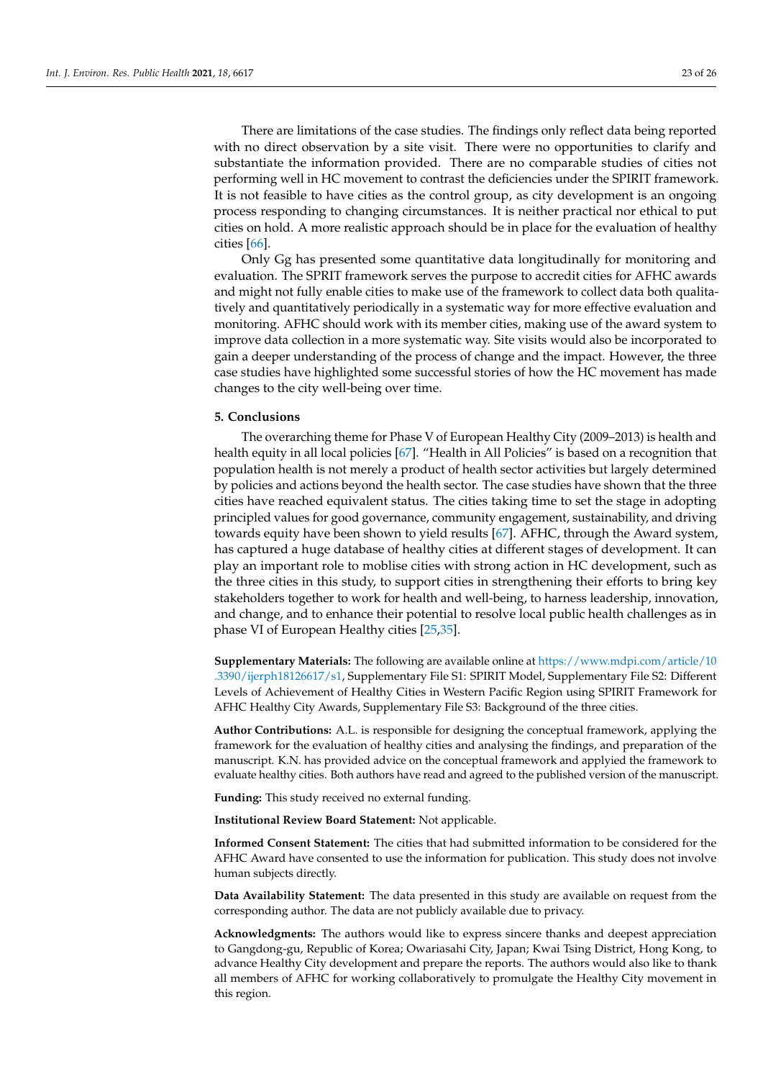There are limitations of the case studies. The findings only reflect data being reported with no direct observation by a site visit. There were no opportunities to clarify and substantiate the information provided. There are no comparable studies of cities not performing well in HC movement to contrast the deficiencies under the SPIRIT framework. It is not feasible to have cities as the control group, as city development is an ongoing process responding to changing circumstances. It is neither practical nor ethical to put cities on hold. A more realistic approach should be in place for the evaluation of healthy cities [\[66\]](#page-25-9).

Only Gg has presented some quantitative data longitudinally for monitoring and evaluation. The SPRIT framework serves the purpose to accredit cities for AFHC awards and might not fully enable cities to make use of the framework to collect data both qualitatively and quantitatively periodically in a systematic way for more effective evaluation and monitoring. AFHC should work with its member cities, making use of the award system to improve data collection in a more systematic way. Site visits would also be incorporated to gain a deeper understanding of the process of change and the impact. However, the three case studies have highlighted some successful stories of how the HC movement has made changes to the city well-being over time.

# **5. Conclusions**

The overarching theme for Phase V of European Healthy City (2009–2013) is health and health equity in all local policies [\[67\]](#page-25-10). "Health in All Policies" is based on a recognition that population health is not merely a product of health sector activities but largely determined by policies and actions beyond the health sector. The case studies have shown that the three cities have reached equivalent status. The cities taking time to set the stage in adopting principled values for good governance, community engagement, sustainability, and driving towards equity have been shown to yield results [\[67\]](#page-25-10). AFHC, through the Award system, has captured a huge database of healthy cities at different stages of development. It can play an important role to moblise cities with strong action in HC development, such as the three cities in this study, to support cities in strengthening their efforts to bring key stakeholders together to work for health and well-being, to harness leadership, innovation, and change, and to enhance their potential to resolve local public health challenges as in phase VI of European Healthy cities [\[25,](#page-23-24)[35\]](#page-24-10).

**Supplementary Materials:** The following are available online at [https://www.mdpi.com/article/10](https://www.mdpi.com/article/10.3390/ijerph18126617/s1) [.3390/ijerph18126617/s1,](https://www.mdpi.com/article/10.3390/ijerph18126617/s1) Supplementary File S1: SPIRIT Model, Supplementary File S2: Different Levels of Achievement of Healthy Cities in Western Pacific Region using SPIRIT Framework for AFHC Healthy City Awards, Supplementary File S3: Background of the three cities.

**Author Contributions:** A.L. is responsible for designing the conceptual framework, applying the framework for the evaluation of healthy cities and analysing the findings, and preparation of the manuscript. K.N. has provided advice on the conceptual framework and applyied the framework to evaluate healthy cities. Both authors have read and agreed to the published version of the manuscript.

**Funding:** This study received no external funding.

**Institutional Review Board Statement:** Not applicable.

**Informed Consent Statement:** The cities that had submitted information to be considered for the AFHC Award have consented to use the information for publication. This study does not involve human subjects directly.

**Data Availability Statement:** The data presented in this study are available on request from the corresponding author. The data are not publicly available due to privacy.

**Acknowledgments:** The authors would like to express sincere thanks and deepest appreciation to Gangdong-gu, Republic of Korea; Owariasahi City, Japan; Kwai Tsing District, Hong Kong, to advance Healthy City development and prepare the reports. The authors would also like to thank all members of AFHC for working collaboratively to promulgate the Healthy City movement in this region.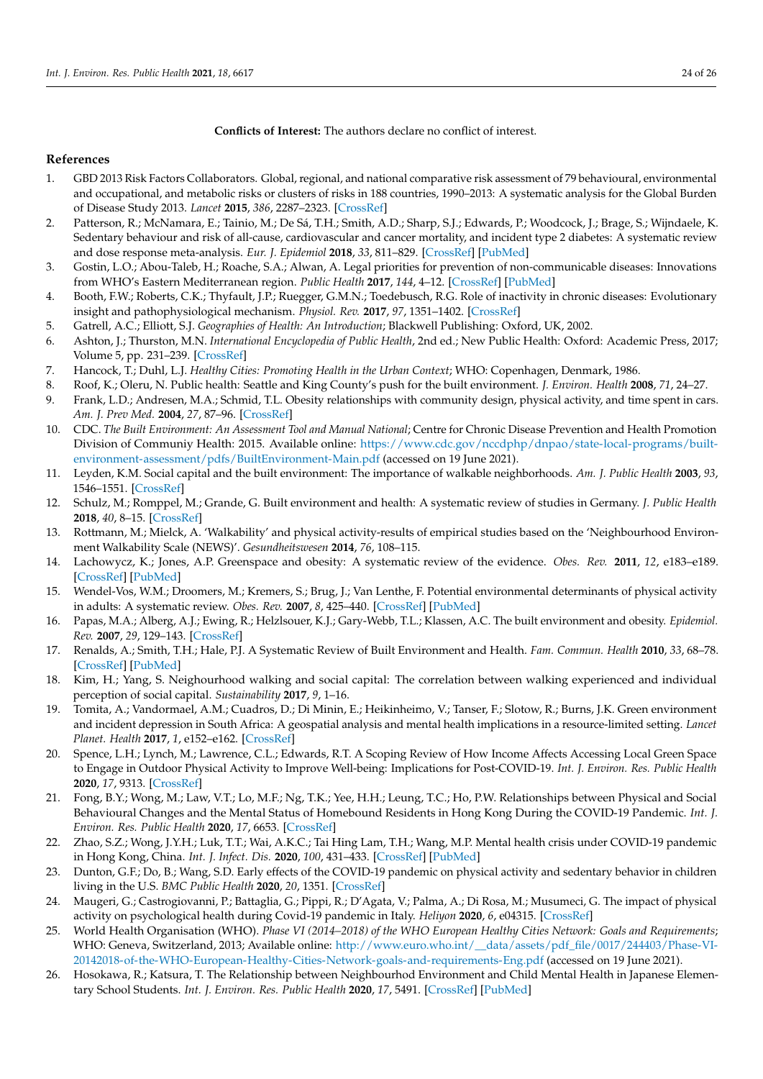**Conflicts of Interest:** The authors declare no conflict of interest.

# **References**

- <span id="page-23-0"></span>1. GBD 2013 Risk Factors Collaborators. Global, regional, and national comparative risk assessment of 79 behavioural, environmental and occupational, and metabolic risks or clusters of risks in 188 countries, 1990–2013: A systematic analysis for the Global Burden of Disease Study 2013. *Lancet* **2015**, *386*, 2287–2323. [\[CrossRef\]](http://doi.org/10.1016/S0140-6736(15)00128-2)
- <span id="page-23-1"></span>2. Patterson, R.; McNamara, E.; Tainio, M.; De Sá, T.H.; Smith, A.D.; Sharp, S.J.; Edwards, P.; Woodcock, J.; Brage, S.; Wijndaele, K. Sedentary behaviour and risk of all-cause, cardiovascular and cancer mortality, and incident type 2 diabetes: A systematic review and dose response meta-analysis. *Eur. J. Epidemiol* **2018**, *33*, 811–829. [\[CrossRef\]](http://doi.org/10.1007/s10654-018-0380-1) [\[PubMed\]](http://www.ncbi.nlm.nih.gov/pubmed/29589226)
- <span id="page-23-2"></span>3. Gostin, L.O.; Abou-Taleb, H.; Roache, S.A.; Alwan, A. Legal priorities for prevention of non-communicable diseases: Innovations from WHO's Eastern Mediterranean region. *Public Health* **2017**, *144*, 4–12. [\[CrossRef\]](http://doi.org/10.1016/j.puhe.2016.11.001) [\[PubMed\]](http://www.ncbi.nlm.nih.gov/pubmed/28274382)
- <span id="page-23-3"></span>4. Booth, F.W.; Roberts, C.K.; Thyfault, J.P.; Ruegger, G.M.N.; Toedebusch, R.G. Role of inactivity in chronic diseases: Evolutionary insight and pathophysiological mechanism. *Physiol. Rev.* **2017**, *97*, 1351–1402. [\[CrossRef\]](http://doi.org/10.1152/physrev.00019.2016)
- <span id="page-23-4"></span>5. Gatrell, A.C.; Elliott, S.J. *Geographies of Health: An Introduction*; Blackwell Publishing: Oxford, UK, 2002.
- <span id="page-23-5"></span>6. Ashton, J.; Thurston, M.N. *International Encyclopedia of Public Health*, 2nd ed.; New Public Health: Oxford: Academic Press, 2017; Volume 5, pp. 231–239. [\[CrossRef\]](http://doi.org/10.1016/B978-0-12-803678-5.00458-6)
- <span id="page-23-6"></span>7. Hancock, T.; Duhl, L.J. *Healthy Cities: Promoting Health in the Urban Context*; WHO: Copenhagen, Denmark, 1986.
- <span id="page-23-7"></span>8. Roof, K.; Oleru, N. Public health: Seattle and King County's push for the built environment. *J. Environ. Health* **2008**, *71*, 24–27.
- <span id="page-23-8"></span>9. Frank, L.D.; Andresen, M.A.; Schmid, T.L. Obesity relationships with community design, physical activity, and time spent in cars. *Am. J. Prev Med.* **2004**, *27*, 87–96. [\[CrossRef\]](http://doi.org/10.1016/j.amepre.2004.04.011)
- <span id="page-23-9"></span>10. CDC. The Built Environment: An Assessment Tool and Manual National; Centre for Chronic Disease Prevention and Health Promotion Division of Communiy Health: 2015. Available online: [https://www.cdc.gov/nccdphp/dnpao/state-local-programs/built](https://www.cdc.gov/nccdphp/dnpao/state-local-programs/built-environment-assessment/pdfs/BuiltEnvironment-Main.pdf)[environment-assessment/pdfs/BuiltEnvironment-Main.pdf](https://www.cdc.gov/nccdphp/dnpao/state-local-programs/built-environment-assessment/pdfs/BuiltEnvironment-Main.pdf) (accessed on 19 June 2021).
- <span id="page-23-10"></span>11. Leyden, K.M. Social capital and the built environment: The importance of walkable neighborhoods. *Am. J. Public Health* **2003**, *93*, 1546–1551. [\[CrossRef\]](http://doi.org/10.2105/AJPH.93.9.1546)
- <span id="page-23-11"></span>12. Schulz, M.; Romppel, M.; Grande, G. Built environment and health: A systematic review of studies in Germany. *J. Public Health* **2018**, *40*, 8–15. [\[CrossRef\]](http://doi.org/10.1093/pubmed/fdw141)
- <span id="page-23-12"></span>13. Rottmann, M.; Mielck, A. 'Walkability' and physical activity-results of empirical studies based on the 'Neighbourhood Environment Walkability Scale (NEWS)'. *Gesundheitswesen* **2014**, *76*, 108–115.
- <span id="page-23-13"></span>14. Lachowycz, K.; Jones, A.P. Greenspace and obesity: A systematic review of the evidence. *Obes. Rev.* **2011**, *12*, e183–e189. [\[CrossRef\]](http://doi.org/10.1111/j.1467-789X.2010.00827.x) [\[PubMed\]](http://www.ncbi.nlm.nih.gov/pubmed/21348919)
- <span id="page-23-14"></span>15. Wendel-Vos, W.M.; Droomers, M.; Kremers, S.; Brug, J.; Van Lenthe, F. Potential environmental determinants of physical activity in adults: A systematic review. *Obes. Rev.* **2007**, *8*, 425–440. [\[CrossRef\]](http://doi.org/10.1111/j.1467-789X.2007.00370.x) [\[PubMed\]](http://www.ncbi.nlm.nih.gov/pubmed/17716300)
- <span id="page-23-15"></span>16. Papas, M.A.; Alberg, A.J.; Ewing, R.; Helzlsouer, K.J.; Gary-Webb, T.L.; Klassen, A.C. The built environment and obesity. *Epidemiol. Rev.* **2007**, *29*, 129–143. [\[CrossRef\]](http://doi.org/10.1093/epirev/mxm009)
- <span id="page-23-16"></span>17. Renalds, A.; Smith, T.H.; Hale, P.J. A Systematic Review of Built Environment and Health. *Fam. Commun. Health* **2010**, *33*, 68–78. [\[CrossRef\]](http://doi.org/10.1097/FCH.0b013e3181c4e2e5) [\[PubMed\]](http://www.ncbi.nlm.nih.gov/pubmed/20010006)
- <span id="page-23-17"></span>18. Kim, H.; Yang, S. Neighourhood walking and social capital: The correlation between walking experienced and individual perception of social capital. *Sustainability* **2017**, *9*, 1–16.
- <span id="page-23-18"></span>19. Tomita, A.; Vandormael, A.M.; Cuadros, D.; Di Minin, E.; Heikinheimo, V.; Tanser, F.; Slotow, R.; Burns, J.K. Green environment and incident depression in South Africa: A geospatial analysis and mental health implications in a resource-limited setting. *Lancet Planet. Health* **2017**, *1*, e152–e162. [\[CrossRef\]](http://doi.org/10.1016/S2542-5196(17)30063-3)
- <span id="page-23-19"></span>20. Spence, L.H.; Lynch, M.; Lawrence, C.L.; Edwards, R.T. A Scoping Review of How Income Affects Accessing Local Green Space to Engage in Outdoor Physical Activity to Improve Well-being: Implications for Post-COVID-19. *Int. J. Environ. Res. Public Health* **2020**, *17*, 9313. [\[CrossRef\]](http://doi.org/10.3390/ijerph17249313)
- <span id="page-23-20"></span>21. Fong, B.Y.; Wong, M.; Law, V.T.; Lo, M.F.; Ng, T.K.; Yee, H.H.; Leung, T.C.; Ho, P.W. Relationships between Physical and Social Behavioural Changes and the Mental Status of Homebound Residents in Hong Kong During the COVID-19 Pandemic. *Int. J. Environ. Res. Public Health* **2020**, *17*, 6653. [\[CrossRef\]](http://doi.org/10.3390/ijerph17186653)
- <span id="page-23-21"></span>22. Zhao, S.Z.; Wong, J.Y.H.; Luk, T.T.; Wai, A.K.C.; Tai Hing Lam, T.H.; Wang, M.P. Mental health crisis under COVID-19 pandemic in Hong Kong, China. *Int. J. Infect. Dis.* **2020**, *100*, 431–433. [\[CrossRef\]](http://doi.org/10.1016/j.ijid.2020.09.030) [\[PubMed\]](http://www.ncbi.nlm.nih.gov/pubmed/32947051)
- <span id="page-23-22"></span>23. Dunton, G.F.; Do, B.; Wang, S.D. Early effects of the COVID-19 pandemic on physical activity and sedentary behavior in children living in the U.S. *BMC Public Health* **2020**, *20*, 1351. [\[CrossRef\]](http://doi.org/10.1186/s12889-020-09429-3)
- <span id="page-23-23"></span>24. Maugeri, G.; Castrogiovanni, P.; Battaglia, G.; Pippi, R.; D'Agata, V.; Palma, A.; Di Rosa, M.; Musumeci, G. The impact of physical activity on psychological health during Covid-19 pandemic in Italy. *Heliyon* **2020**, *6*, e04315. [\[CrossRef\]](http://doi.org/10.1016/j.heliyon.2020.e04315)
- <span id="page-23-24"></span>25. World Health Organisation (WHO). *Phase VI (2014–2018) of the WHO European Healthy Cities Network: Goals and Requirements*; WHO: Geneva, Switzerland, 2013; Available online: [http://www.euro.who.int/\\_\\_data/assets/pdf\\_file/0017/244403/Phase-VI-](http://www.euro.who.int/__data/assets/pdf_file/0017/244403/Phase-VI-20142018-of-the-WHO-European-Healthy-Cities-Network-goals-and-requirements-Eng.pdf)[20142018-of-the-WHO-European-Healthy-Cities-Network-goals-and-requirements-Eng.pdf](http://www.euro.who.int/__data/assets/pdf_file/0017/244403/Phase-VI-20142018-of-the-WHO-European-Healthy-Cities-Network-goals-and-requirements-Eng.pdf) (accessed on 19 June 2021).
- <span id="page-23-25"></span>26. Hosokawa, R.; Katsura, T. The Relationship between Neighbourhod Environment and Child Mental Health in Japanese Elementary School Students. *Int. J. Environ. Res. Public Health* **2020**, *17*, 5491. [\[CrossRef\]](http://doi.org/10.3390/ijerph17155491) [\[PubMed\]](http://www.ncbi.nlm.nih.gov/pubmed/32751397)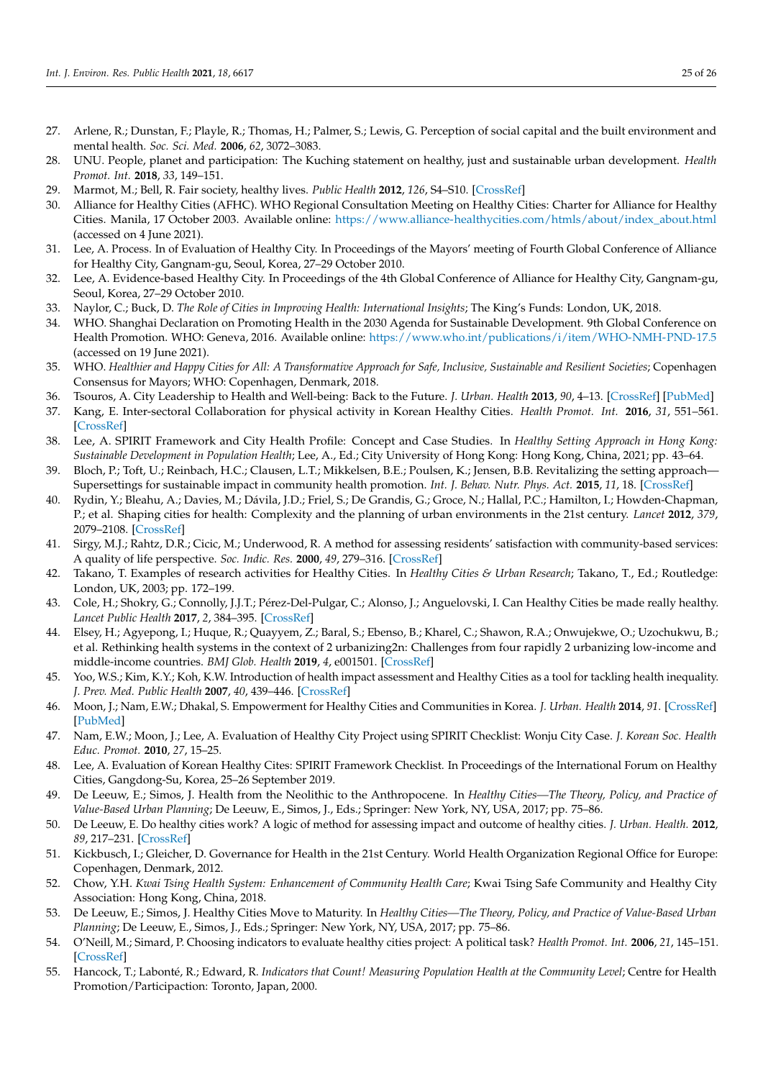- <span id="page-24-0"></span>27. Arlene, R.; Dunstan, F.; Playle, R.; Thomas, H.; Palmer, S.; Lewis, G. Perception of social capital and the built environment and mental health. *Soc. Sci. Med.* **2006**, *62*, 3072–3083.
- <span id="page-24-1"></span>28. UNU. People, planet and participation: The Kuching statement on healthy, just and sustainable urban development. *Health Promot. Int.* **2018**, *33*, 149–151.
- <span id="page-24-2"></span>29. Marmot, M.; Bell, R. Fair society, healthy lives. *Public Health* **2012**, *126*, S4–S10. [\[CrossRef\]](http://doi.org/10.1016/j.puhe.2012.05.014)
- <span id="page-24-3"></span>30. Alliance for Healthy Cities (AFHC). WHO Regional Consultation Meeting on Healthy Cities: Charter for Alliance for Healthy Cities. Manila, 17 October 2003. Available online: [https://www.alliance-healthycities.com/htmls/about/index\\_about.html](https://www.alliance-healthycities.com/htmls/about/index_about.html) (accessed on 4 June 2021).
- <span id="page-24-4"></span>31. Lee, A. Process. In of Evaluation of Healthy City. In Proceedings of the Mayors' meeting of Fourth Global Conference of Alliance for Healthy City, Gangnam-gu, Seoul, Korea, 27–29 October 2010.
- <span id="page-24-5"></span>32. Lee, A. Evidence-based Healthy City. In Proceedings of the 4th Global Conference of Alliance for Healthy City, Gangnam-gu, Seoul, Korea, 27–29 October 2010.
- <span id="page-24-6"></span>33. Naylor, C.; Buck, D. *The Role of Cities in Improving Health: International Insights*; The King's Funds: London, UK, 2018.
- 34. WHO. Shanghai Declaration on Promoting Health in the 2030 Agenda for Sustainable Development. 9th Global Conference on Health Promotion. WHO: Geneva, 2016. Available online: <https://www.who.int/publications/i/item/WHO-NMH-PND-17.5> (accessed on 19 June 2021).
- <span id="page-24-10"></span>35. WHO. *Healthier and Happy Cities for All: A Transformative Approach for Safe, Inclusive, Sustainable and Resilient Societies*; Copenhagen Consensus for Mayors; WHO: Copenhagen, Denmark, 2018.
- 36. Tsouros, A. City Leadership to Health and Well-being: Back to the Future. *J. Urban. Health* **2013**, *90*, 4–13. [\[CrossRef\]](http://doi.org/10.1007/s11524-013-9825-8) [\[PubMed\]](http://www.ncbi.nlm.nih.gov/pubmed/23990344)
- <span id="page-24-7"></span>37. Kang, E. Inter-sectoral Collaboration for physical activity in Korean Healthy Cities. *Health Promot. Int.* **2016**, *31*, 551–561. [\[CrossRef\]](http://doi.org/10.1093/heapro/dav020)
- <span id="page-24-8"></span>38. Lee, A. SPIRIT Framework and City Health Profile: Concept and Case Studies. In *Healthy Setting Approach in Hong Kong: Sustainable Development in Population Health*; Lee, A., Ed.; City University of Hong Kong: Hong Kong, China, 2021; pp. 43–64.
- <span id="page-24-9"></span>39. Bloch, P.; Toft, U.; Reinbach, H.C.; Clausen, L.T.; Mikkelsen, B.E.; Poulsen, K.; Jensen, B.B. Revitalizing the setting approach-Supersettings for sustainable impact in community health promotion. *Int. J. Behav. Nutr. Phys. Act.* **2015**, *11*, 18. [\[CrossRef\]](http://doi.org/10.1186/s12966-014-0118-8)
- <span id="page-24-11"></span>40. Rydin, Y.; Bleahu, A.; Davies, M.; Dávila, J.D.; Friel, S.; De Grandis, G.; Groce, N.; Hallal, P.C.; Hamilton, I.; Howden-Chapman, P.; et al. Shaping cities for health: Complexity and the planning of urban environments in the 21st century. *Lancet* **2012**, *379*, 2079–2108. [\[CrossRef\]](http://doi.org/10.1016/S0140-6736(12)60435-8)
- <span id="page-24-12"></span>41. Sirgy, M.J.; Rahtz, D.R.; Cicic, M.; Underwood, R. A method for assessing residents' satisfaction with community-based services: A quality of life perspective. *Soc. Indic. Res.* **2000**, *49*, 279–316. [\[CrossRef\]](http://doi.org/10.1023/A:1006990718673)
- <span id="page-24-13"></span>42. Takano, T. Examples of research activities for Healthy Cities. In *Healthy Cities & Urban Research*; Takano, T., Ed.; Routledge: London, UK, 2003; pp. 172–199.
- <span id="page-24-14"></span>43. Cole, H.; Shokry, G.; Connolly, J.J.T.; Pérez-Del-Pulgar, C.; Alonso, J.; Anguelovski, I. Can Healthy Cities be made really healthy. *Lancet Public Health* **2017**, *2*, 384–395. [\[CrossRef\]](http://doi.org/10.1016/S2468-2667(17)30166-4)
- <span id="page-24-15"></span>44. Elsey, H.; Agyepong, I.; Huque, R.; Quayyem, Z.; Baral, S.; Ebenso, B.; Kharel, C.; Shawon, R.A.; Onwujekwe, O.; Uzochukwu, B.; et al. Rethinking health systems in the context of 2 urbanizing2n: Challenges from four rapidly 2 urbanizing low-income and middle-income countries. *BMJ Glob. Health* **2019**, *4*, e001501. [\[CrossRef\]](http://doi.org/10.1136/bmjgh-2019-001501)
- <span id="page-24-16"></span>45. Yoo, W.S.; Kim, K.Y.; Koh, K.W. Introduction of health impact assessment and Healthy Cities as a tool for tackling health inequality. *J. Prev. Med. Public Health* **2007**, *40*, 439–446. [\[CrossRef\]](http://doi.org/10.3961/jpmph.2007.40.6.439)
- <span id="page-24-17"></span>46. Moon, J.; Nam, E.W.; Dhakal, S. Empowerment for Healthy Cities and Communities in Korea. *J. Urban. Health* **2014**, *91*. [\[CrossRef\]](http://doi.org/10.1007/s11524-014-9892-5) [\[PubMed\]](http://www.ncbi.nlm.nih.gov/pubmed/25216789)
- <span id="page-24-18"></span>47. Nam, E.W.; Moon, J.; Lee, A. Evaluation of Healthy City Project using SPIRIT Checklist: Wonju City Case. *J. Korean Soc. Health Educ. Promot.* **2010**, *27*, 15–25.
- <span id="page-24-19"></span>48. Lee, A. Evaluation of Korean Healthy Cites: SPIRIT Framework Checklist. In Proceedings of the International Forum on Healthy Cities, Gangdong-Su, Korea, 25–26 September 2019.
- 49. De Leeuw, E.; Simos, J. Health from the Neolithic to the Anthropocene. In *Healthy Cities—The Theory, Policy, and Practice of Value-Based Urban Planning*; De Leeuw, E., Simos, J., Eds.; Springer: New York, NY, USA, 2017; pp. 75–86.
- 50. De Leeuw, E. Do healthy cities work? A logic of method for assessing impact and outcome of healthy cities. *J. Urban. Health.* **2012**, *89*, 217–231. [\[CrossRef\]](http://doi.org/10.1007/s11524-011-9617-y)
- <span id="page-24-20"></span>51. Kickbusch, I.; Gleicher, D. Governance for Health in the 21st Century. World Health Organization Regional Office for Europe: Copenhagen, Denmark, 2012.
- <span id="page-24-21"></span>52. Chow, Y.H. *Kwai Tsing Health System: Enhancement of Community Health Care*; Kwai Tsing Safe Community and Healthy City Association: Hong Kong, China, 2018.
- <span id="page-24-22"></span>53. De Leeuw, E.; Simos, J. Healthy Cities Move to Maturity. In *Healthy Cities—The Theory, Policy, and Practice of Value-Based Urban Planning*; De Leeuw, E., Simos, J., Eds.; Springer: New York, NY, USA, 2017; pp. 75–86.
- <span id="page-24-23"></span>54. O'Neill, M.; Simard, P. Choosing indicators to evaluate healthy cities project: A political task? *Health Promot. Int.* **2006**, *21*, 145–151. [\[CrossRef\]](http://doi.org/10.1093/heapro/dal006)
- <span id="page-24-24"></span>55. Hancock, T.; Labonté, R.; Edward, R. *Indicators that Count! Measuring Population Health at the Community Level*; Centre for Health Promotion/Participaction: Toronto, Japan, 2000.